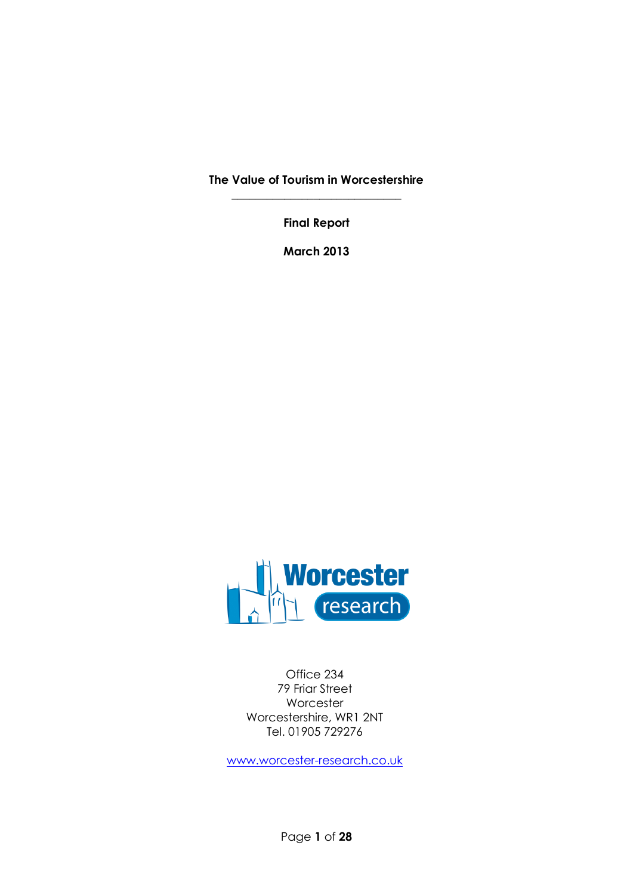**The Value of Tourism in Worcestershire \_\_\_\_\_\_\_\_\_\_\_\_\_\_\_\_\_\_\_\_\_\_\_\_\_\_\_\_\_**

**Final Report**

**March 2013**



Office 234 79 Friar Street Worcester Worcestershire, WR1 2NT Tel. 01905 729276

[www.worcester-research.co.uk](http://www.worcester-research.co.uk/)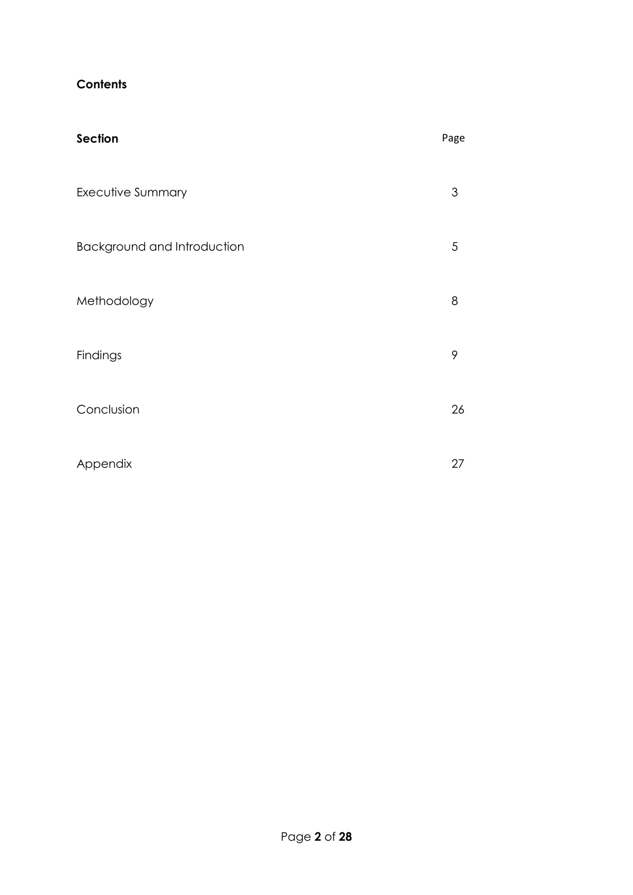## **Contents**

| Section                     | Page |
|-----------------------------|------|
| Executive Summary           | 3    |
| Background and Introduction | 5    |
| Methodology                 | 8    |
| Findings                    | 9    |
| Conclusion                  | 26   |
| Appendix                    | 27   |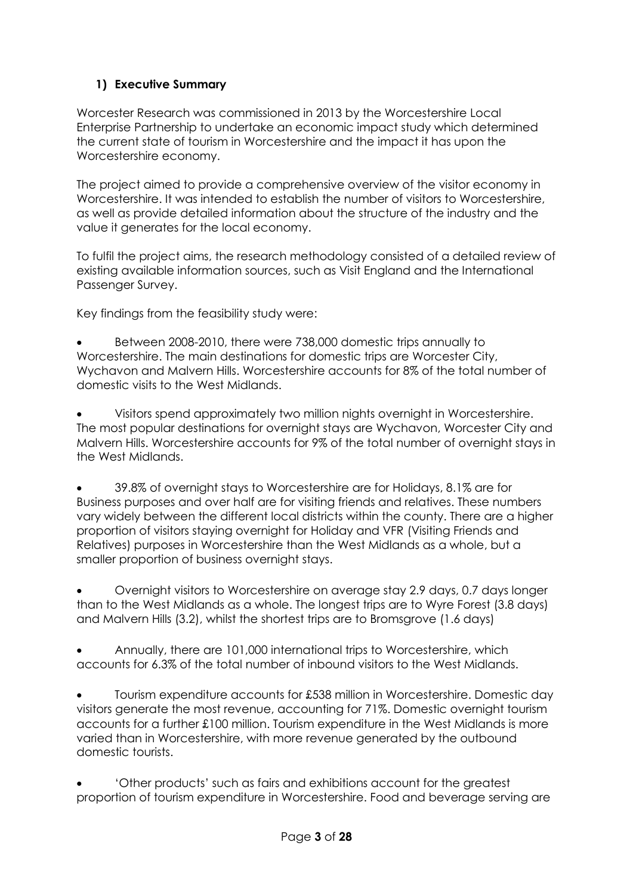# **1) Executive Summary**

Worcester Research was commissioned in 2013 by the Worcestershire Local Enterprise Partnership to undertake an economic impact study which determined the current state of tourism in Worcestershire and the impact it has upon the Worcestershire economy.

The project aimed to provide a comprehensive overview of the visitor economy in Worcestershire. It was intended to establish the number of visitors to Worcestershire, as well as provide detailed information about the structure of the industry and the value it generates for the local economy.

To fulfil the project aims, the research methodology consisted of a detailed review of existing available information sources, such as Visit England and the International Passenger Survey.

Key findings from the feasibility study were:

 Between 2008-2010, there were 738,000 domestic trips annually to Worcestershire. The main destinations for domestic trips are Worcester City, Wychavon and Malvern Hills. Worcestershire accounts for 8% of the total number of domestic visits to the West Midlands.

 Visitors spend approximately two million nights overnight in Worcestershire. The most popular destinations for overnight stays are Wychavon, Worcester City and Malvern Hills. Worcestershire accounts for 9% of the total number of overnight stays in the West Midlands.

 39.8% of overnight stays to Worcestershire are for Holidays, 8.1% are for Business purposes and over half are for visiting friends and relatives. These numbers vary widely between the different local districts within the county. There are a higher proportion of visitors staying overnight for Holiday and VFR (Visiting Friends and Relatives) purposes in Worcestershire than the West Midlands as a whole, but a smaller proportion of business overnight stays.

 Overnight visitors to Worcestershire on average stay 2.9 days, 0.7 days longer than to the West Midlands as a whole. The longest trips are to Wyre Forest (3.8 days) and Malvern Hills (3.2), whilst the shortest trips are to Bromsgrove (1.6 days)

 Annually, there are 101,000 international trips to Worcestershire, which accounts for 6.3% of the total number of inbound visitors to the West Midlands.

 Tourism expenditure accounts for £538 million in Worcestershire. Domestic day visitors generate the most revenue, accounting for 71%. Domestic overnight tourism accounts for a further £100 million. Tourism expenditure in the West Midlands is more varied than in Worcestershire, with more revenue generated by the outbound domestic tourists.

 'Other products' such as fairs and exhibitions account for the greatest proportion of tourism expenditure in Worcestershire. Food and beverage serving are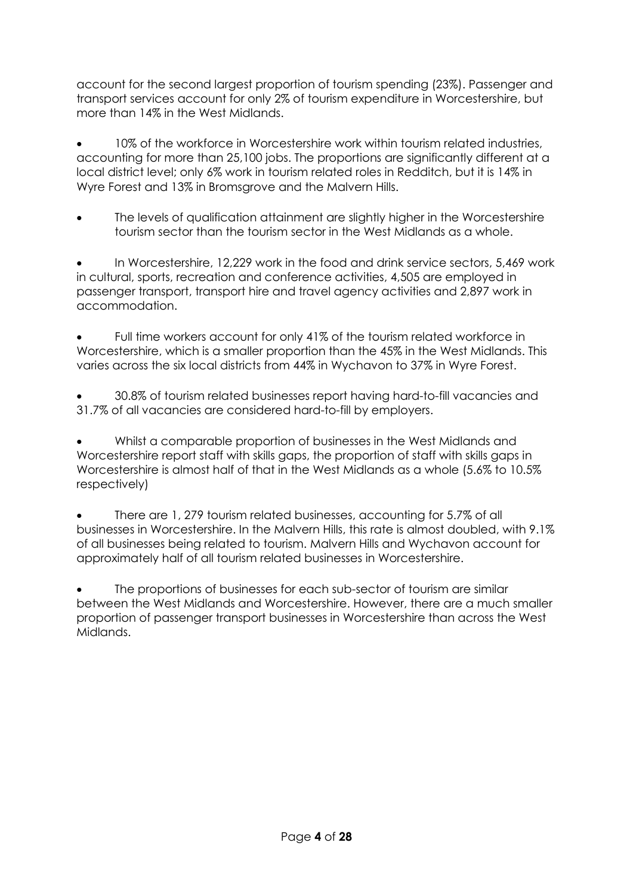account for the second largest proportion of tourism spending (23%). Passenger and transport services account for only 2% of tourism expenditure in Worcestershire, but more than 14% in the West Midlands.

 10% of the workforce in Worcestershire work within tourism related industries, accounting for more than 25,100 jobs. The proportions are significantly different at a local district level; only 6% work in tourism related roles in Redditch, but it is 14% in Wyre Forest and 13% in Bromsgrove and the Malvern Hills.

 The levels of qualification attainment are slightly higher in the Worcestershire tourism sector than the tourism sector in the West Midlands as a whole.

 In Worcestershire, 12,229 work in the food and drink service sectors, 5,469 work in cultural, sports, recreation and conference activities, 4,505 are employed in passenger transport, transport hire and travel agency activities and 2,897 work in accommodation.

 Full time workers account for only 41% of the tourism related workforce in Worcestershire, which is a smaller proportion than the 45% in the West Midlands. This varies across the six local districts from 44% in Wychavon to 37% in Wyre Forest.

 30.8% of tourism related businesses report having hard-to-fill vacancies and 31.7% of all vacancies are considered hard-to-fill by employers.

 Whilst a comparable proportion of businesses in the West Midlands and Worcestershire report staff with skills gaps, the proportion of staff with skills gaps in Worcestershire is almost half of that in the West Midlands as a whole (5.6% to 10.5% respectively)

 There are 1, 279 tourism related businesses, accounting for 5.7% of all businesses in Worcestershire. In the Malvern Hills, this rate is almost doubled, with 9.1% of all businesses being related to tourism. Malvern Hills and Wychavon account for approximately half of all tourism related businesses in Worcestershire.

 The proportions of businesses for each sub-sector of tourism are similar between the West Midlands and Worcestershire. However, there are a much smaller proportion of passenger transport businesses in Worcestershire than across the West Midlands.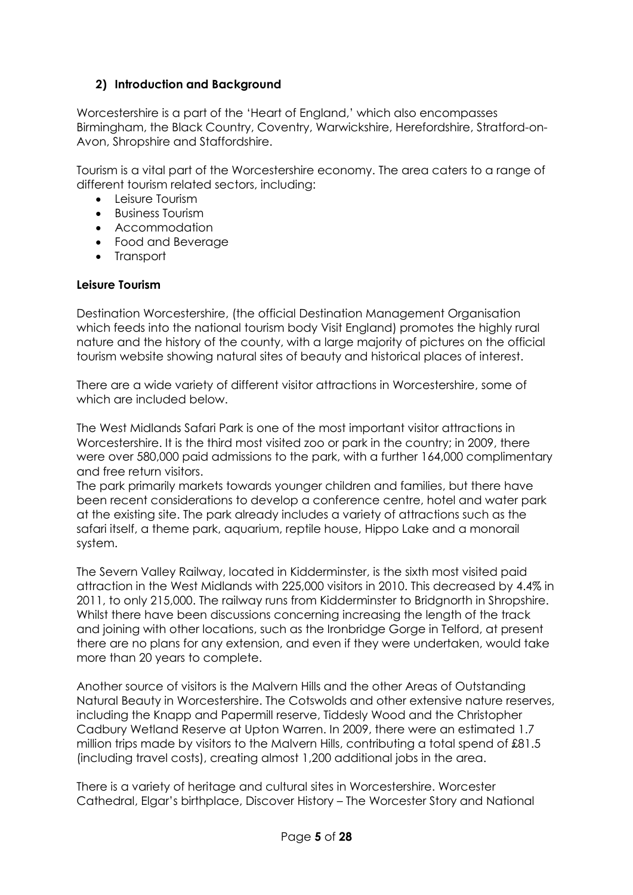## **2) Introduction and Background**

Worcestershire is a part of the 'Heart of England,' which also encompasses Birmingham, the Black Country, Coventry, Warwickshire, Herefordshire, Stratford-on-Avon, Shropshire and Staffordshire.

Tourism is a vital part of the Worcestershire economy. The area caters to a range of different tourism related sectors, including:

- Leisure Tourism
- Business Tourism
- Accommodation
- Food and Beverage
- Transport

### **Leisure Tourism**

Destination Worcestershire, (the official Destination Management Organisation which feeds into the national tourism body Visit England) promotes the highly rural nature and the history of the county, with a large majority of pictures on the official tourism website showing natural sites of beauty and historical places of interest.

There are a wide variety of different visitor attractions in Worcestershire, some of which are included below.

The West Midlands Safari Park is one of the most important visitor attractions in Worcestershire. It is the third most visited zoo or park in the country; in 2009, there were over 580,000 paid admissions to the park, with a further 164,000 complimentary and free return visitors.

The park primarily markets towards younger children and families, but there have been recent considerations to develop a conference centre, hotel and water park at the existing site. The park already includes a variety of attractions such as the safari itself, a theme park, aquarium, reptile house, Hippo Lake and a monorail system.

The Severn Valley Railway, located in Kidderminster, is the sixth most visited paid attraction in the West Midlands with 225,000 visitors in 2010. This decreased by 4.4% in 2011, to only 215,000. The railway runs from Kidderminster to Bridgnorth in Shropshire. Whilst there have been discussions concerning increasing the length of the track and joining with other locations, such as the Ironbridge Gorge in Telford, at present there are no plans for any extension, and even if they were undertaken, would take more than 20 years to complete.

Another source of visitors is the Malvern Hills and the other Areas of Outstanding Natural Beauty in Worcestershire. The Cotswolds and other extensive nature reserves, including the Knapp and Papermill reserve, Tiddesly Wood and the Christopher Cadbury Wetland Reserve at Upton Warren. In 2009, there were an estimated 1.7 million trips made by visitors to the Malvern Hills, contributing a total spend of £81.5 (including travel costs), creating almost 1,200 additional jobs in the area.

There is a variety of heritage and cultural sites in Worcestershire. Worcester Cathedral, Elgar's birthplace, Discover History – The Worcester Story and National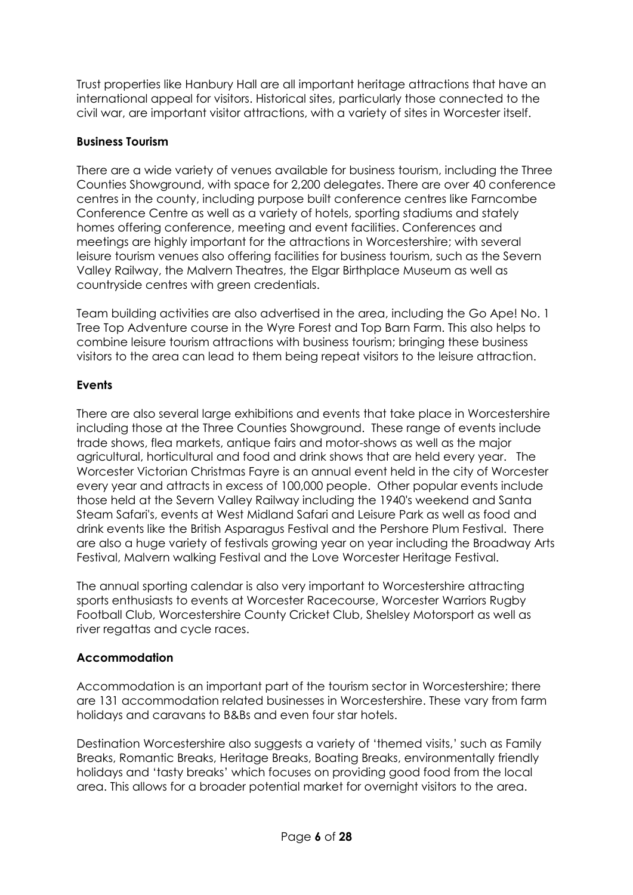Trust properties like Hanbury Hall are all important heritage attractions that have an international appeal for visitors. Historical sites, particularly those connected to the civil war, are important visitor attractions, with a variety of sites in Worcester itself.

### **Business Tourism**

There are a wide variety of venues available for business tourism, including the Three Counties Showground, with space for 2,200 delegates. There are over 40 conference centres in the county, including purpose built conference centres like Farncombe Conference Centre as well as a variety of hotels, sporting stadiums and stately homes offering conference, meeting and event facilities. Conferences and meetings are highly important for the attractions in Worcestershire; with several leisure tourism venues also offering facilities for business tourism, such as the Severn Valley Railway, the Malvern Theatres, the Elgar Birthplace Museum as well as countryside centres with green credentials.

Team building activities are also advertised in the area, including the Go Ape! No. 1 Tree Top Adventure course in the Wyre Forest and Top Barn Farm. This also helps to combine leisure tourism attractions with business tourism; bringing these business visitors to the area can lead to them being repeat visitors to the leisure attraction.

## **Events**

There are also several large exhibitions and events that take place in Worcestershire including those at the Three Counties Showground. These range of events include trade shows, flea markets, antique fairs and motor-shows as well as the major agricultural, horticultural and food and drink shows that are held every year. The Worcester Victorian Christmas Fayre is an annual event held in the city of Worcester every year and attracts in excess of 100,000 people. Other popular events include those held at the Severn Valley Railway including the 1940's weekend and Santa Steam Safari's, events at West Midland Safari and Leisure Park as well as food and drink events like the British Asparagus Festival and the Pershore Plum Festival. There are also a huge variety of festivals growing year on year including the Broadway Arts Festival, Malvern walking Festival and the Love Worcester Heritage Festival.

The annual sporting calendar is also very important to Worcestershire attracting sports enthusiasts to events at Worcester Racecourse, Worcester Warriors Rugby Football Club, Worcestershire County Cricket Club, Shelsley Motorsport as well as river regattas and cycle races.

## **Accommodation**

Accommodation is an important part of the tourism sector in Worcestershire; there are 131 accommodation related businesses in Worcestershire. These vary from farm holidays and caravans to B&Bs and even four star hotels.

Destination Worcestershire also suggests a variety of 'themed visits,' such as Family Breaks, Romantic Breaks, Heritage Breaks, Boating Breaks, environmentally friendly holidays and 'tasty breaks' which focuses on providing good food from the local area. This allows for a broader potential market for overnight visitors to the area.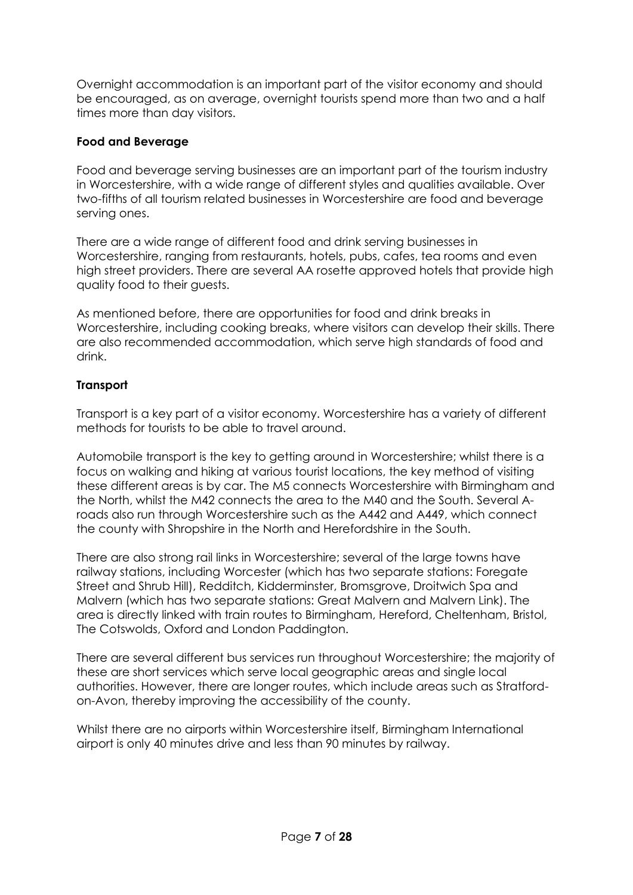Overnight accommodation is an important part of the visitor economy and should be encouraged, as on average, overnight tourists spend more than two and a half times more than day visitors.

### **Food and Beverage**

Food and beverage serving businesses are an important part of the tourism industry in Worcestershire, with a wide range of different styles and qualities available. Over two-fifths of all tourism related businesses in Worcestershire are food and beverage serving ones.

There are a wide range of different food and drink serving businesses in Worcestershire, ranging from restaurants, hotels, pubs, cafes, tea rooms and even high street providers. There are several AA rosette approved hotels that provide high quality food to their guests.

As mentioned before, there are opportunities for food and drink breaks in Worcestershire, including cooking breaks, where visitors can develop their skills. There are also recommended accommodation, which serve high standards of food and drink.

## **Transport**

Transport is a key part of a visitor economy. Worcestershire has a variety of different methods for tourists to be able to travel around.

Automobile transport is the key to getting around in Worcestershire; whilst there is a focus on walking and hiking at various tourist locations, the key method of visiting these different areas is by car. The M5 connects Worcestershire with Birmingham and the North, whilst the M42 connects the area to the M40 and the South. Several Aroads also run through Worcestershire such as the A442 and A449, which connect the county with Shropshire in the North and Herefordshire in the South.

There are also strong rail links in Worcestershire; several of the large towns have railway stations, including Worcester (which has two separate stations: Foregate Street and Shrub Hill), Redditch, Kidderminster, Bromsgrove, Droitwich Spa and Malvern (which has two separate stations: Great Malvern and Malvern Link). The area is directly linked with train routes to Birmingham, Hereford, Cheltenham, Bristol, The Cotswolds, Oxford and London Paddington.

There are several different bus services run throughout Worcestershire; the majority of these are short services which serve local geographic areas and single local authorities. However, there are longer routes, which include areas such as Stratfordon-Avon, thereby improving the accessibility of the county.

Whilst there are no airports within Worcestershire itself, Birmingham International airport is only 40 minutes drive and less than 90 minutes by railway.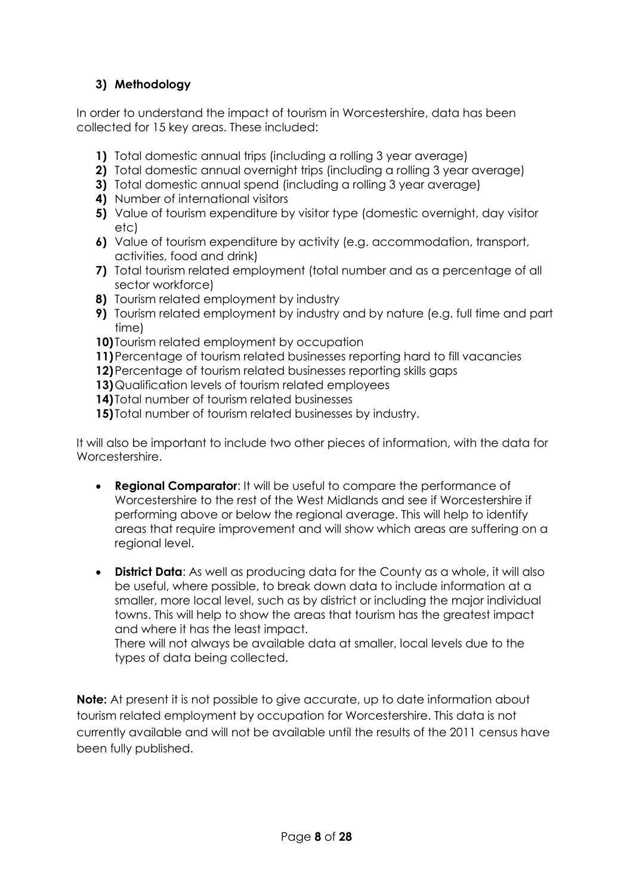# **3) Methodology**

In order to understand the impact of tourism in Worcestershire, data has been collected for 15 key areas. These included:

- **1)** Total domestic annual trips (including a rolling 3 year average)
- **2)** Total domestic annual overnight trips (including a rolling 3 year average)
- **3)** Total domestic annual spend (including a rolling 3 year average)
- **4)** Number of international visitors
- **5)** Value of tourism expenditure by visitor type (domestic overnight, day visitor etc)
- **6)** Value of tourism expenditure by activity (e.g. accommodation, transport, activities, food and drink)
- **7)** Total tourism related employment (total number and as a percentage of all sector workforce)
- **8)** Tourism related employment by industry
- **9)** Tourism related employment by industry and by nature (e.g. full time and part time)
- **10)** Tourism related employment by occupation
- **11)**Percentage of tourism related businesses reporting hard to fill vacancies
- **12)**Percentage of tourism related businesses reporting skills gaps
- **13)**Qualification levels of tourism related employees
- **14)** Total number of tourism related businesses
- **15)** Total number of tourism related businesses by industry.

It will also be important to include two other pieces of information, with the data for Worcestershire.

- **Regional Comparator**: It will be useful to compare the performance of Worcestershire to the rest of the West Midlands and see if Worcestershire if performing above or below the regional average. This will help to identify areas that require improvement and will show which areas are suffering on a regional level.
- **District Data**: As well as producing data for the County as a whole, it will also be useful, where possible, to break down data to include information at a smaller, more local level, such as by district or including the major individual towns. This will help to show the areas that tourism has the greatest impact and where it has the least impact.

There will not always be available data at smaller, local levels due to the types of data being collected.

**Note:** At present it is not possible to give accurate, up to date information about tourism related employment by occupation for Worcestershire. This data is not currently available and will not be available until the results of the 2011 census have been fully published.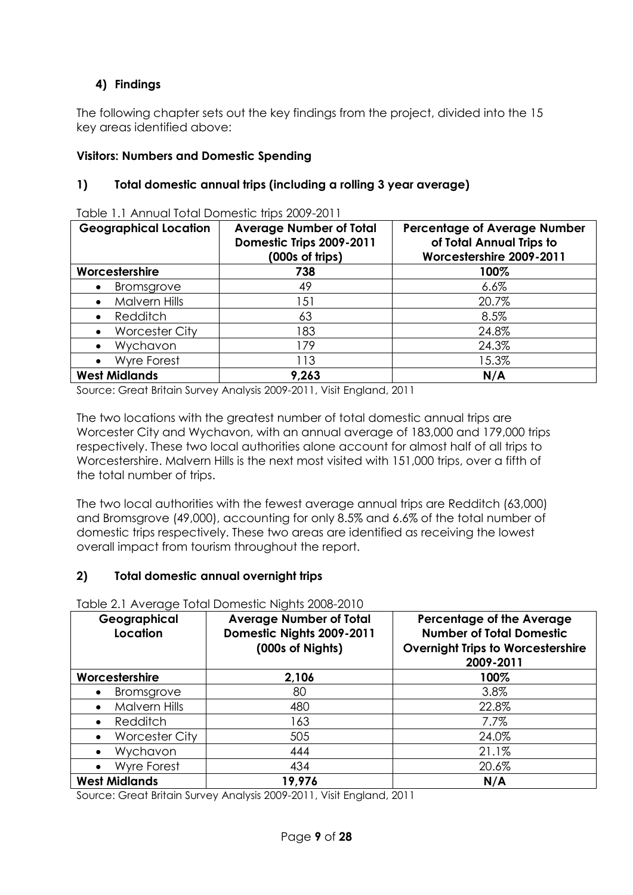# **4) Findings**

The following chapter sets out the key findings from the project, divided into the 15 key areas identified above:

## **Visitors: Numbers and Domestic Spending**

## **1) Total domestic annual trips (including a rolling 3 year average)**

| <b>Geographical Location</b><br><b>Average Number of Total</b><br>Domestic Trips 2009-2011<br>(000s of trips) |       | <b>Percentage of Average Number</b><br>of Total Annual Trips to<br>Worcestershire 2009-2011 |  |
|---------------------------------------------------------------------------------------------------------------|-------|---------------------------------------------------------------------------------------------|--|
| Worcestershire                                                                                                | 738   | 100%                                                                                        |  |
| <b>Bromsgrove</b>                                                                                             | 49    | $6.6\%$                                                                                     |  |
| <b>Malvern Hills</b><br>$\bullet$                                                                             | 151   | 20.7%                                                                                       |  |
| Redditch<br>$\bullet$                                                                                         | 63    | 8.5%                                                                                        |  |
| <b>Worcester City</b>                                                                                         | 183   | 24.8%                                                                                       |  |
| Wychavon<br>$\bullet$                                                                                         | 179   | 24.3%                                                                                       |  |
| <b>Wyre Forest</b><br>$\bullet$                                                                               | 113   | 15.3%                                                                                       |  |
| <b>West Midlands</b>                                                                                          | 9,263 | N/A                                                                                         |  |

Table 1.1 Annual Total Domestic trips 2009-2011

Source: Great Britain Survey Analysis 2009-2011, Visit England, 2011

The two locations with the greatest number of total domestic annual trips are Worcester City and Wychavon, with an annual average of 183,000 and 179,000 trips respectively. These two local authorities alone account for almost half of all trips to Worcestershire. Malvern Hills is the next most visited with 151,000 trips, over a fifth of the total number of trips.

The two local authorities with the fewest average annual trips are Redditch (63,000) and Bromsgrove (49,000), accounting for only 8.5% and 6.6% of the total number of domestic trips respectively. These two areas are identified as receiving the lowest overall impact from tourism throughout the report.

### **2) Total domestic annual overnight trips**

| Geographical<br>Location           | <b>Average Number of Total</b><br>Domestic Nights 2009-2011<br>(000s of Nights) | <b>Percentage of the Average</b><br><b>Number of Total Domestic</b><br><b>Overnight Trips to Worcestershire</b><br>2009-2011 |
|------------------------------------|---------------------------------------------------------------------------------|------------------------------------------------------------------------------------------------------------------------------|
| Worcestershire                     | 2,106                                                                           | 100%                                                                                                                         |
| Bromsgrove<br>$\bullet$            | 80                                                                              | 3.8%                                                                                                                         |
| <b>Malvern Hills</b>               | 480                                                                             | 22.8%                                                                                                                        |
| Redditch<br>$\bullet$              | 163                                                                             | $7.7\%$                                                                                                                      |
| <b>Worcester City</b><br>$\bullet$ | 505                                                                             | 24.0%                                                                                                                        |
| Wychavon<br>$\bullet$              | 444                                                                             | 21.1%                                                                                                                        |
| Wyre Forest<br>$\bullet$           | 434                                                                             | 20.6%                                                                                                                        |
| <b>West Midlands</b>               | 19,976                                                                          | N/A                                                                                                                          |

Table 2.1 Average Total Domestic Nights 2008-2010

Source: Great Britain Survey Analysis 2009-2011, Visit England, 2011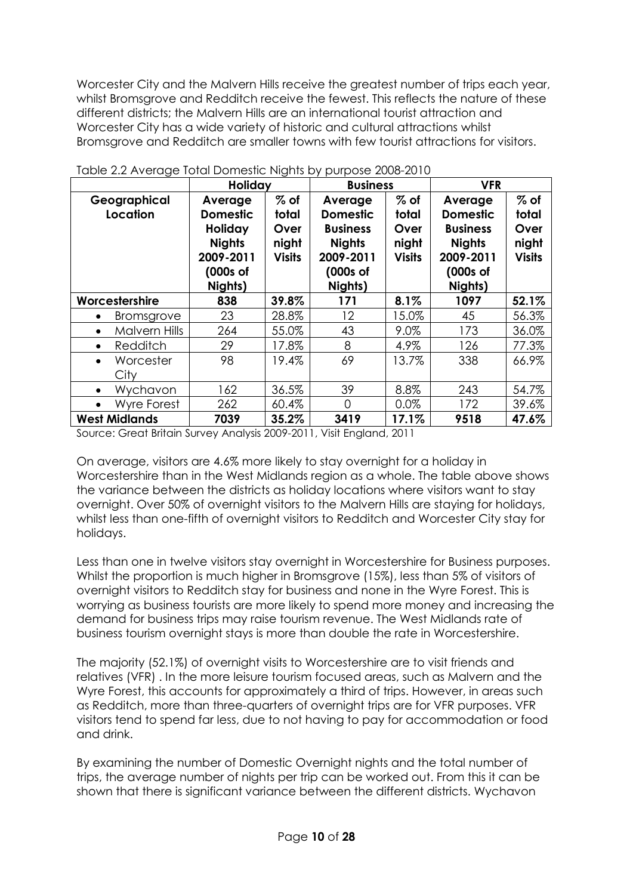Worcester City and the Malvern Hills receive the greatest number of trips each year, whilst Bromsgrove and Redditch receive the fewest. This reflects the nature of these different districts; the Malvern Hills are an international tourist attraction and Worcester City has a wide variety of historic and cultural attractions whilst Bromsgrove and Redditch are smaller towns with few tourist attractions for visitors.

|                                 | Holiday                                                                                    |                                                   | <b>Business</b>                                                                                    |                                                   | <b>VFR</b>                                                                                         |                                                   |
|---------------------------------|--------------------------------------------------------------------------------------------|---------------------------------------------------|----------------------------------------------------------------------------------------------------|---------------------------------------------------|----------------------------------------------------------------------------------------------------|---------------------------------------------------|
| Geographical<br>Location        | Average<br><b>Domestic</b><br>Holiday<br><b>Nights</b><br>2009-2011<br>(000s of<br>Nights) | $%$ of<br>total<br>Over<br>night<br><b>Visits</b> | Average<br><b>Domestic</b><br><b>Business</b><br><b>Nights</b><br>2009-2011<br>(000s of<br>Nights) | $%$ of<br>total<br>Over<br>night<br><b>Visits</b> | Average<br><b>Domestic</b><br><b>Business</b><br><b>Nights</b><br>2009-2011<br>(000s of<br>Nights) | $%$ of<br>total<br>Over<br>night<br><b>Visits</b> |
| Worcestershire                  | 838                                                                                        | 39.8%                                             | 171                                                                                                | 8.1%                                              | 1097                                                                                               | 52.1%                                             |
| <b>Bromsgrove</b><br>$\bullet$  | 23                                                                                         | 28.8%                                             | $12 \overline{ }$                                                                                  | 15.0%                                             | 45                                                                                                 | 56.3%                                             |
| Malvern Hills<br>$\bullet$      | 264                                                                                        | 55.0%                                             | 43                                                                                                 | 9.0%                                              | 173                                                                                                | 36.0%                                             |
| Redditch<br>$\bullet$           | 29                                                                                         | 17.8%                                             | 8                                                                                                  | 4.9%                                              | 126                                                                                                | 77.3%                                             |
| Worcester<br>$\bullet$<br>City  | 98                                                                                         | 19.4%                                             | 69                                                                                                 | 13.7%                                             | 338                                                                                                | 66.9%                                             |
| Wychavon<br>$\bullet$           | 162                                                                                        | 36.5%                                             | 39                                                                                                 | 8.8%                                              | 243                                                                                                | 54.7%                                             |
| <b>Wyre Forest</b><br>$\bullet$ | 262                                                                                        | 60.4%                                             | $\Omega$                                                                                           | 0.0%                                              | 172                                                                                                | 39.6%                                             |
| <b>West Midlands</b>            | 7039                                                                                       | 35.2%                                             | 3419                                                                                               | 17.1%                                             | 9518                                                                                               | 47.6%                                             |

Table 2.2 Average Total Domestic Nights by purpose 2008-2010

Source: Great Britain Survey Analysis 2009-2011, Visit England, 2011

On average, visitors are 4.6% more likely to stay overnight for a holiday in Worcestershire than in the West Midlands region as a whole. The table above shows the variance between the districts as holiday locations where visitors want to stay overnight. Over 50% of overnight visitors to the Malvern Hills are staying for holidays, whilst less than one-fifth of overnight visitors to Redditch and Worcester City stay for holidays.

Less than one in twelve visitors stay overnight in Worcestershire for Business purposes. Whilst the proportion is much higher in Bromsgrove (15%), less than 5% of visitors of overnight visitors to Redditch stay for business and none in the Wyre Forest. This is worrying as business tourists are more likely to spend more money and increasing the demand for business trips may raise tourism revenue. The West Midlands rate of business tourism overnight stays is more than double the rate in Worcestershire.

The majority (52.1%) of overnight visits to Worcestershire are to visit friends and relatives (VFR) . In the more leisure tourism focused areas, such as Malvern and the Wyre Forest, this accounts for approximately a third of trips. However, in areas such as Redditch, more than three-quarters of overnight trips are for VFR purposes. VFR visitors tend to spend far less, due to not having to pay for accommodation or food and drink.

By examining the number of Domestic Overnight nights and the total number of trips, the average number of nights per trip can be worked out. From this it can be shown that there is significant variance between the different districts. Wychavon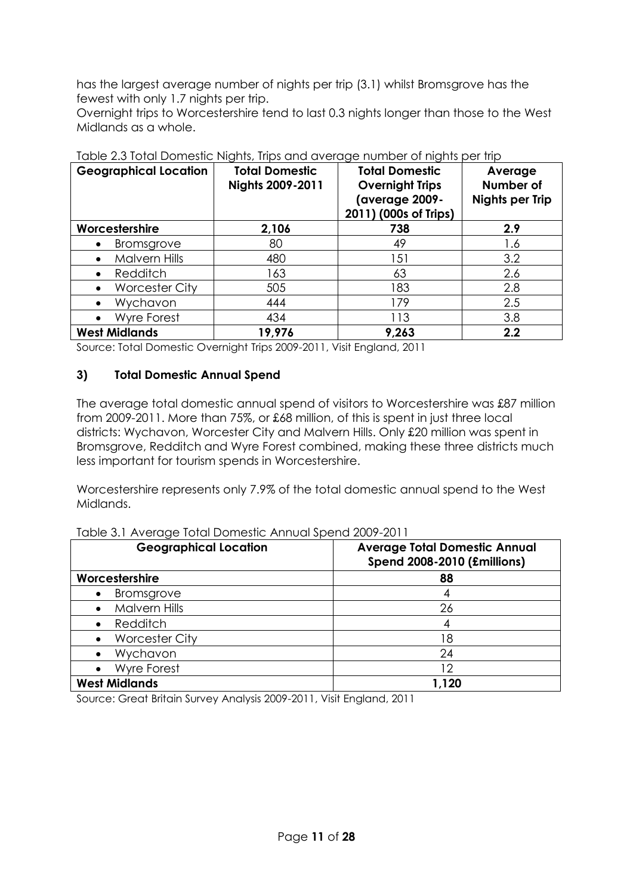has the largest average number of nights per trip (3.1) whilst Bromsgrove has the fewest with only 1.7 nights per trip.

Overnight trips to Worcestershire tend to last 0.3 nights longer than those to the West Midlands as a whole.

| <b>Geographical Location</b>       | <b>Total Domestic</b><br>Nights 2009-2011 | <b>Total Domestic</b><br><b>Overnight Trips</b><br>(average 2009-<br>2011) (000s of Trips) | Average<br>Number of<br><b>Nights per Trip</b> |
|------------------------------------|-------------------------------------------|--------------------------------------------------------------------------------------------|------------------------------------------------|
| Worcestershire                     | 2,106                                     | 738                                                                                        | 2.9                                            |
| Bromsgrove<br>٠                    | 80                                        | 49                                                                                         | 1.6                                            |
| <b>Malvern Hills</b><br>$\bullet$  | 480                                       | 151                                                                                        | 3.2                                            |
| Redditch<br>$\bullet$              | 163                                       | 63                                                                                         | 2.6                                            |
| <b>Worcester City</b><br>$\bullet$ | 505                                       | 183                                                                                        | 2.8                                            |
| Wychavon<br>$\bullet$              | 444                                       | 179                                                                                        | 2.5                                            |
| <b>Wyre Forest</b><br>$\bullet$    | 434                                       | 113                                                                                        | 3.8                                            |
| <b>West Midlands</b>               | 19,976                                    | 9,263                                                                                      | 2.2                                            |

Table 2.3 Total Domestic Nights, Trips and average number of nights per trip

Source: Total Domestic Overnight Trips 2009-2011, Visit England, 2011

## **3) Total Domestic Annual Spend**

The average total domestic annual spend of visitors to Worcestershire was £87 million from 2009-2011. More than 75%, or £68 million, of this is spent in just three local districts: Wychavon, Worcester City and Malvern Hills. Only £20 million was spent in Bromsgrove, Redditch and Wyre Forest combined, making these three districts much less important for tourism spends in Worcestershire.

Worcestershire represents only 7.9% of the total domestic annual spend to the West Midlands.

Table 3.1 Average Total Domestic Annual Spend 2009-2011

| <b>Geographical Location</b> | <b>Average Total Domestic Annual</b><br><b>Spend 2008-2010 (£millions)</b> |
|------------------------------|----------------------------------------------------------------------------|
| Worcestershire               | 88                                                                         |
| Bromsgrove<br>$\bullet$      |                                                                            |
| Malvern Hills                | 26                                                                         |
| Redditch<br>$\bullet$        |                                                                            |
| <b>Worcester City</b>        | 18                                                                         |
| Wychavon                     | 24                                                                         |
| <b>Wyre Forest</b>           | 12                                                                         |
| <b>West Midlands</b>         | 1,120                                                                      |

Source: Great Britain Survey Analysis 2009-2011, Visit England, 2011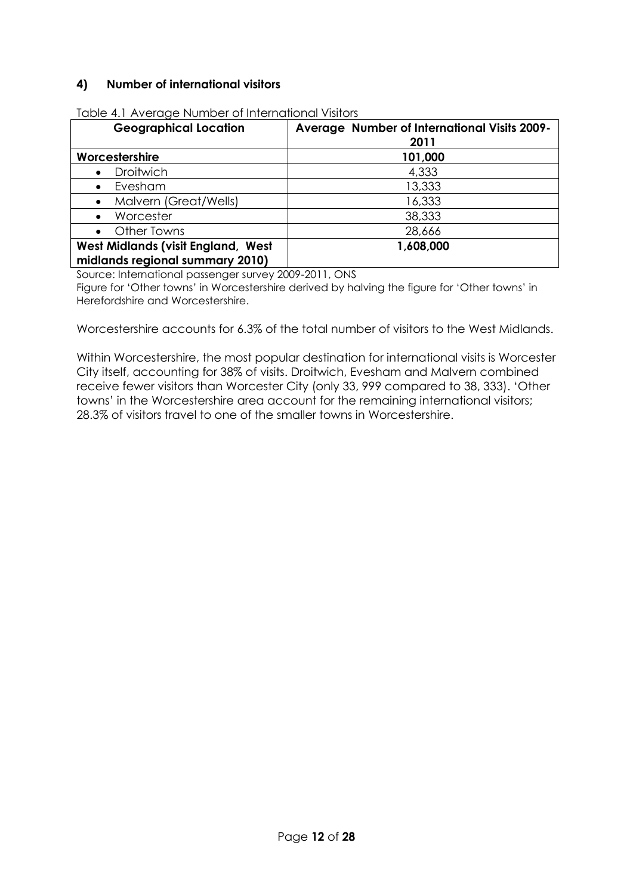## **4) Number of international visitors**

| <b>Geographical Location</b>                                                 | Average Number of International Visits 2009-<br>2011 |
|------------------------------------------------------------------------------|------------------------------------------------------|
| Worcestershire                                                               | 101,000                                              |
| <b>Droitwich</b>                                                             | 4,333                                                |
| Evesham<br>$\bullet$                                                         | 13,333                                               |
| Malvern (Great/Wells)                                                        | 16,333                                               |
| Worcester                                                                    | 38,333                                               |
| Other Towns<br>$\bullet$                                                     | 28,666                                               |
| <b>West Midlands (visit England, West</b><br>midlands regional summary 2010) | 1,608,000                                            |

Table 4.1 Average Number of International Visitors

Source: International passenger survey 2009-2011, ONS

Figure for 'Other towns' in Worcestershire derived by halving the figure for 'Other towns' in Herefordshire and Worcestershire.

Worcestershire accounts for 6.3% of the total number of visitors to the West Midlands.

Within Worcestershire, the most popular destination for international visits is Worcester City itself, accounting for 38% of visits. Droitwich, Evesham and Malvern combined receive fewer visitors than Worcester City (only 33, 999 compared to 38, 333). 'Other towns' in the Worcestershire area account for the remaining international visitors; 28.3% of visitors travel to one of the smaller towns in Worcestershire.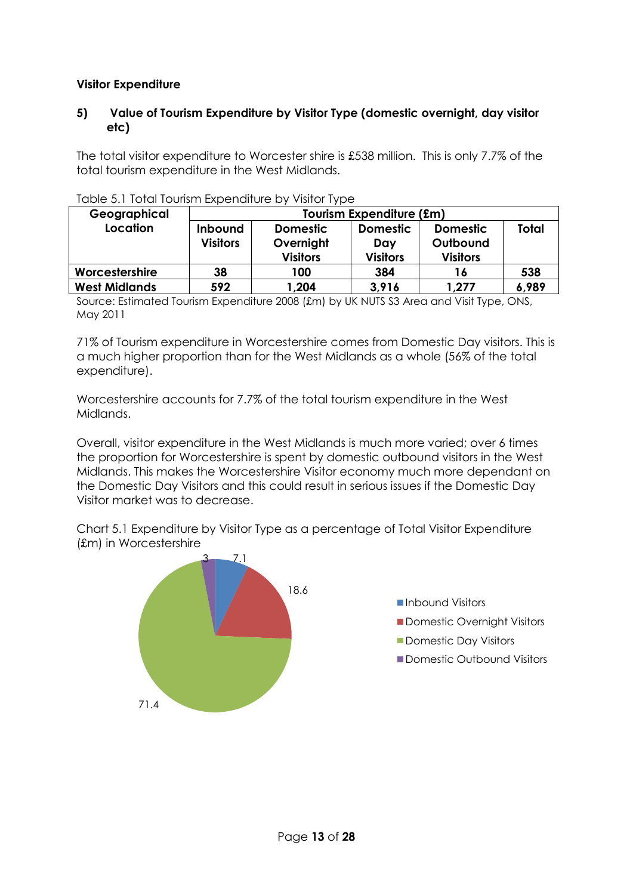## **Visitor Expenditure**

### **5) Value of Tourism Expenditure by Visitor Type (domestic overnight, day visitor etc)**

The total visitor expenditure to Worcester shire is £538 million. This is only 7.7% of the total tourism expenditure in the West Midlands.

| Geographical         | Tourism Expenditure (£m) |                 |                 |                 |              |  |
|----------------------|--------------------------|-----------------|-----------------|-----------------|--------------|--|
| Location             | Inbound                  | <b>Domestic</b> | <b>Domestic</b> | <b>Domestic</b> | <b>Total</b> |  |
|                      | <b>Visitors</b>          | Overnight       | Day             | Outbound        |              |  |
|                      |                          | <b>Visitors</b> | <b>Visitors</b> | <b>Visitors</b> |              |  |
| Worcestershire       | 38                       | 100             | 384             | 16              | 538          |  |
| <b>West Midlands</b> | 592                      | 1,204           | 3,916           | 1,277           | 6,989        |  |

| Table 5.1 Total Tourism Expenditure by Visitor Type |  |  |  |  |
|-----------------------------------------------------|--|--|--|--|
|-----------------------------------------------------|--|--|--|--|

Source: Estimated Tourism Expenditure 2008 (£m) by UK NUTS S3 Area and Visit Type, ONS, May 2011

71% of Tourism expenditure in Worcestershire comes from Domestic Day visitors. This is a much higher proportion than for the West Midlands as a whole (56% of the total expenditure).

Worcestershire accounts for 7.7% of the total tourism expenditure in the West Midlands.

Overall, visitor expenditure in the West Midlands is much more varied; over 6 times the proportion for Worcestershire is spent by domestic outbound visitors in the West Midlands. This makes the Worcestershire Visitor economy much more dependant on the Domestic Day Visitors and this could result in serious issues if the Domestic Day Visitor market was to decrease.

Chart 5.1 Expenditure by Visitor Type as a percentage of Total Visitor Expenditure (£m) in Worcestershire

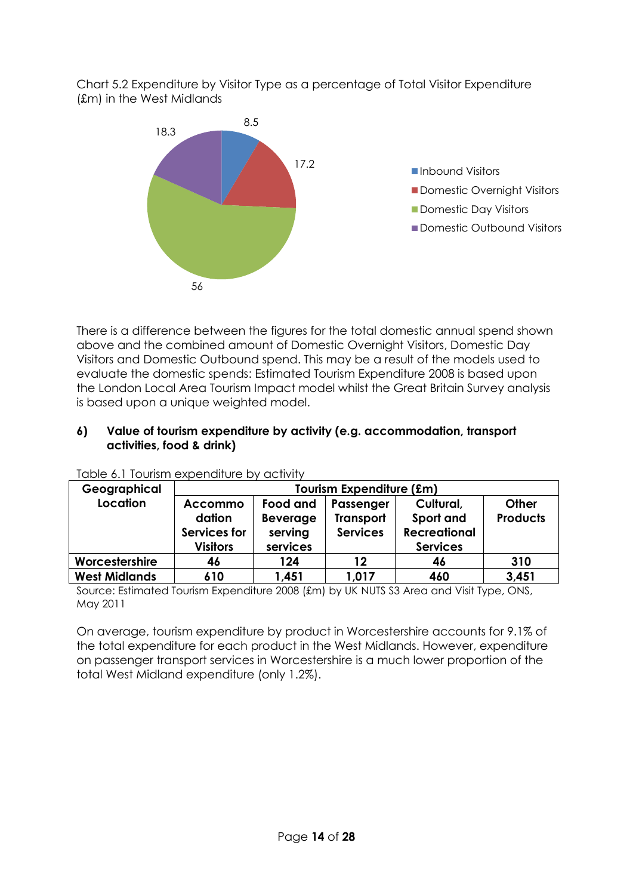Chart 5.2 Expenditure by Visitor Type as a percentage of Total Visitor Expenditure (£m) in the West Midlands



There is a difference between the figures for the total domestic annual spend shown above and the combined amount of Domestic Overnight Visitors, Domestic Day Visitors and Domestic Outbound spend. This may be a result of the models used to evaluate the domestic spends: Estimated Tourism Expenditure 2008 is based upon the London Local Area Tourism Impact model whilst the Great Britain Survey analysis is based upon a unique weighted model.

### **6) Value of tourism expenditure by activity (e.g. accommodation, transport activities, food & drink)**

| Geographical         | Tourism Expenditure (£m)                                    |                                                    |                                                  |                                                                  |                          |  |
|----------------------|-------------------------------------------------------------|----------------------------------------------------|--------------------------------------------------|------------------------------------------------------------------|--------------------------|--|
| Location             | <b>Accommo</b><br>dation<br>Services for<br><b>Visitors</b> | Food and<br><b>Beverage</b><br>serving<br>services | Passenger<br><b>Transport</b><br><b>Services</b> | Cultural,<br>Sport and<br><b>Recreational</b><br><b>Services</b> | Other<br><b>Products</b> |  |
| Worcestershire       | 46                                                          | 124                                                | 12                                               | 46                                                               | 310                      |  |
| <b>West Midlands</b> | 610                                                         | 1,451                                              | 1,017                                            | 460                                                              | 3,451                    |  |

Table 6.1 Tourism expenditure by activity

Source: Estimated Tourism Expenditure 2008 (£m) by UK NUTS S3 Area and Visit Type, ONS, May 2011

On average, tourism expenditure by product in Worcestershire accounts for 9.1% of the total expenditure for each product in the West Midlands. However, expenditure on passenger transport services in Worcestershire is a much lower proportion of the total West Midland expenditure (only 1.2%).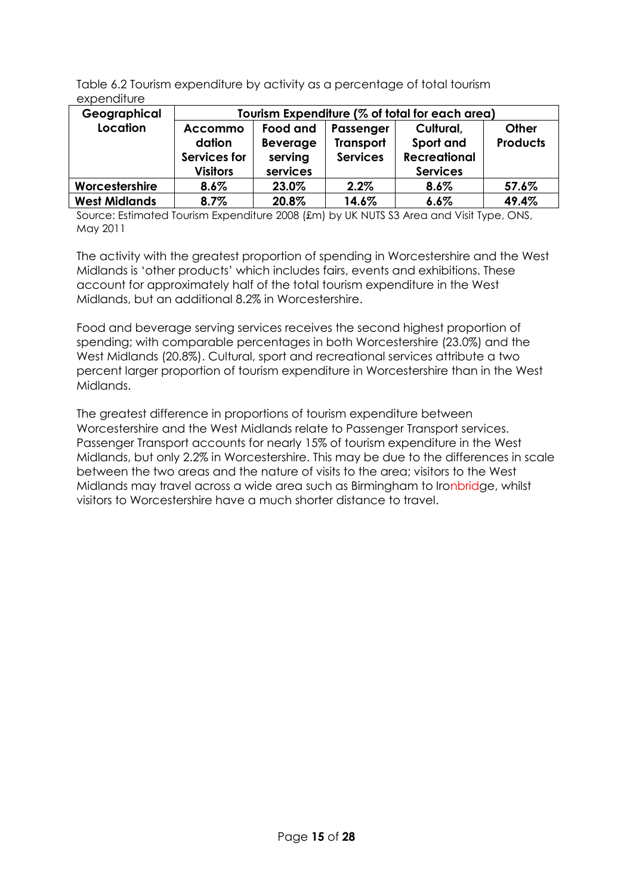Table 6.2 Tourism expenditure by activity as a percentage of total tourism expenditure

| Geographical         | Tourism Expenditure (% of total for each area) |                 |                  |                     |                 |
|----------------------|------------------------------------------------|-----------------|------------------|---------------------|-----------------|
| Location             | <b>Accommo</b>                                 | Food and        | Passenger        | Cultural,           | Other           |
|                      | dation                                         | <b>Beverage</b> | <b>Transport</b> | Sport and           | <b>Products</b> |
|                      | Services for                                   | serving         | <b>Services</b>  | <b>Recreational</b> |                 |
|                      | <b>Visitors</b>                                | services        |                  | <b>Services</b>     |                 |
| Worcestershire       | 8.6%                                           | 23.0%           | 2.2%             | 8.6%                | 57.6%           |
| <b>West Midlands</b> | 8.7%                                           | 20.8%           | 14.6%            | 6.6%                | 49.4%           |

Source: Estimated Tourism Expenditure 2008 (£m) by UK NUTS S3 Area and Visit Type, ONS, May 2011

The activity with the greatest proportion of spending in Worcestershire and the West Midlands is 'other products' which includes fairs, events and exhibitions. These account for approximately half of the total tourism expenditure in the West Midlands, but an additional 8.2% in Worcestershire.

Food and beverage serving services receives the second highest proportion of spending; with comparable percentages in both Worcestershire (23.0%) and the West Midlands (20.8%). Cultural, sport and recreational services attribute a two percent larger proportion of tourism expenditure in Worcestershire than in the West Midlands.

The greatest difference in proportions of tourism expenditure between Worcestershire and the West Midlands relate to Passenger Transport services. Passenger Transport accounts for nearly 15% of tourism expenditure in the West Midlands, but only 2.2% in Worcestershire. This may be due to the differences in scale between the two areas and the nature of visits to the area; visitors to the West Midlands may travel across a wide area such as Birmingham to Ironbridge, whilst visitors to Worcestershire have a much shorter distance to travel.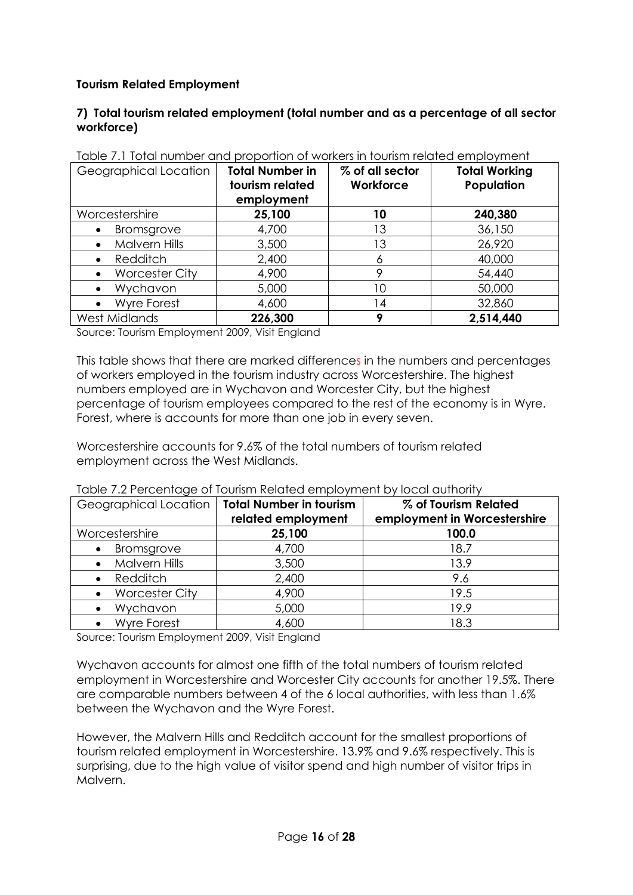## **Tourism Related Employment**

### **7) Total tourism related employment (total number and as a percentage of all sector workforce)**

| Geographical Location              | <b>Total Number in</b><br>tourism related<br>employment | % of all sector<br>Workforce | <b>Total Working</b><br>Population |
|------------------------------------|---------------------------------------------------------|------------------------------|------------------------------------|
| Worcestershire                     | 25,100                                                  | 10                           | 240,380                            |
| Bromsgrove<br>$\bullet$            | 4,700                                                   | 13                           | 36,150                             |
| Malvern Hills<br>٠                 | 3,500                                                   | 13                           | 26,920                             |
| Redditch                           | 2,400                                                   |                              | 40,000                             |
| <b>Worcester City</b><br>$\bullet$ | 4,900                                                   |                              | 54,440                             |
| Wychavon<br>$\bullet$              | 5,000                                                   | 10                           | 50,000                             |
| <b>Wyre Forest</b><br>$\bullet$    | 4,600                                                   | 14                           | 32,860                             |
| West Midlands                      | 226,300                                                 |                              | 2,514,440                          |

Table 7.1 Total number and proportion of workers in tourism related employment

Source: Tourism Employment 2009, Visit England

This table shows that there are marked differences in the numbers and percentages of workers employed in the tourism industry across Worcestershire. The highest numbers employed are in Wychavon and Worcester City, but the highest percentage of tourism employees compared to the rest of the economy is in Wyre. Forest, where is accounts for more than one job in every seven.

Worcestershire accounts for 9.6% of the total numbers of tourism related employment across the West Midlands.

| Geographical Location | Total Number in tourism<br>related employment | % of Tourism Related<br>employment in Worcestershire |
|-----------------------|-----------------------------------------------|------------------------------------------------------|
| Worcestershire        | 25,100                                        | 100.0                                                |
| Bromsgrove            | 4,700                                         | 18.7                                                 |
| <b>Malvern Hills</b>  | 3,500                                         | 13.9                                                 |
| Redditch              | 2,400                                         | 9.6                                                  |
| <b>Worcester City</b> | 4,900                                         | 19.5                                                 |
| Wychavon              | 5,000                                         | 19.9                                                 |
| <b>Wyre Forest</b>    | 4,600                                         | 18.3                                                 |

Table 7.2 Percentage of Tourism Related employment by local authority

Source: Tourism Employment 2009, Visit England

Wychavon accounts for almost one fifth of the total numbers of tourism related employment in Worcestershire and Worcester City accounts for another 19.5%. There are comparable numbers between 4 of the 6 local authorities, with less than 1.6% between the Wychavon and the Wyre Forest.

However, the Malvern Hills and Redditch account for the smallest proportions of tourism related employment in Worcestershire. 13.9% and 9.6% respectively. This is surprising, due to the high value of visitor spend and high number of visitor trips in Malvern.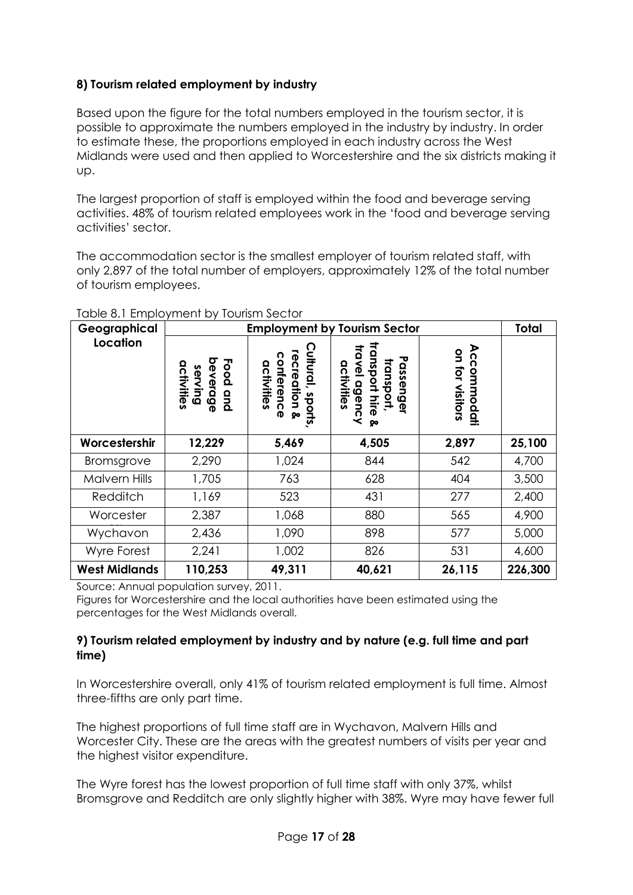# **8) Tourism related employment by industry**

Based upon the figure for the total numbers employed in the tourism sector, it is possible to approximate the numbers employed in the industry by industry. In order to estimate these, the proportions employed in each industry across the West Midlands were used and then applied to Worcestershire and the six districts making it up.

The largest proportion of staff is employed within the food and beverage serving activities. 48% of tourism related employees work in the 'food and beverage serving activities' sector.

The accommodation sector is the smallest employer of tourism related staff, with only 2,897 of the total number of employers, approximately 12% of the total number of tourism employees.

| Geographical         |                                                 |                                                                     | <b>Employment by Tourism Sector</b>                                                                    |                                                 | <b>Total</b> |
|----------------------|-------------------------------------------------|---------------------------------------------------------------------|--------------------------------------------------------------------------------------------------------|-------------------------------------------------|--------------|
| Location             | Food<br>activities<br>serving<br>everage<br>qnd | ultural,<br>recreation<br>conference<br>activities<br>sports,<br>ଡ଼ | <b>Iransport</b><br>travel<br>Passen<br>transport,<br>activities<br>dgency<br><b>Gel</b><br>hire<br>ଡ଼ | Accom<br>$\mathbf{S}$<br>for visitors<br>modati |              |
| Worcestershir        | 12,229                                          | 5,469                                                               | 4,505                                                                                                  | 2,897                                           | 25,100       |
| <b>Bromsgrove</b>    | 2,290                                           | 1,024                                                               | 844                                                                                                    | 542                                             | 4,700        |
| <b>Malvern Hills</b> | 1,705                                           | 763                                                                 | 628                                                                                                    | 404                                             | 3,500        |
| Redditch             | 1,169                                           | 523                                                                 | 431                                                                                                    | 277                                             | 2,400        |
| Worcester            | 2,387                                           | 1,068                                                               | 880                                                                                                    | 565                                             | 4,900        |
| Wychavon             | 2,436                                           | 1,090                                                               | 898                                                                                                    | 577                                             | 5,000        |
| Wyre Forest          | 2,241                                           | 1,002                                                               | 826                                                                                                    | 531                                             | 4,600        |
| <b>West Midlands</b> | 110,253                                         | 49,311                                                              | 40,621                                                                                                 | 26,115                                          | 226,300      |

#### Table 8.1 Employment by Tourism Sector

Source: Annual population survey, 2011.

Figures for Worcestershire and the local authorities have been estimated using the percentages for the West Midlands overall.

### **9) Tourism related employment by industry and by nature (e.g. full time and part time)**

In Worcestershire overall, only 41% of tourism related employment is full time. Almost three-fifths are only part time.

The highest proportions of full time staff are in Wychavon, Malvern Hills and Worcester City. These are the areas with the greatest numbers of visits per year and the highest visitor expenditure.

The Wyre forest has the lowest proportion of full time staff with only 37%, whilst Bromsgrove and Redditch are only slightly higher with 38%. Wyre may have fewer full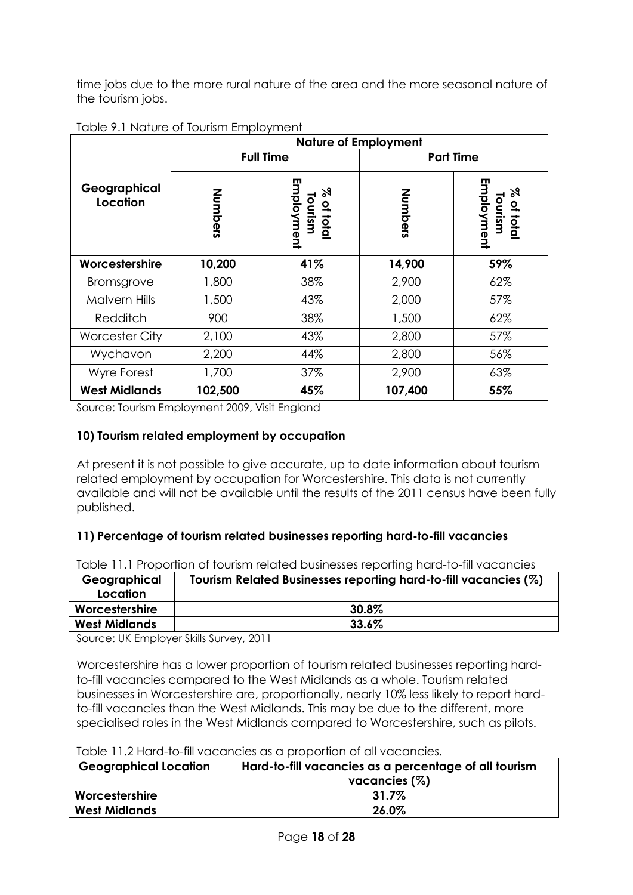time jobs due to the more rural nature of the area and the more seasonal nature of the tourism jobs.

|                          |         |                                               | <b>Nature of Employment</b> |                                               |  |
|--------------------------|---------|-----------------------------------------------|-----------------------------|-----------------------------------------------|--|
|                          |         | <b>Full Time</b>                              | <b>Part Time</b>            |                                               |  |
| Geographical<br>Location | Nombers | ш<br>mployment<br>৯৭<br>% of total<br>Tourism | Numbers                     | ш<br>Tourism<br>Employment<br>$\%$<br>of tota |  |
| Worcestershire           | 10,200  | 41%                                           | 14,900                      | 59%                                           |  |
| <b>Bromsgrove</b>        | 1,800   | 38%                                           | 2,900                       | 62%                                           |  |
| <b>Malvern Hills</b>     | 1,500   | 43%                                           | 2,000                       | 57%                                           |  |
| Redditch                 | 900     | 38%                                           | 1,500                       | 62%                                           |  |
| <b>Worcester City</b>    | 2,100   | 43%                                           | 2,800                       | 57%                                           |  |
| Wychavon                 | 2,200   | 44%                                           | 2,800                       | 56%                                           |  |
| Wyre Forest              | 1,700   | 37%                                           | 2,900                       | 63%                                           |  |
| <b>West Midlands</b>     | 102,500 | 45%                                           | 107,400                     | 55%                                           |  |

#### Table 9.1 Nature of Tourism Employment

Source: Tourism Employment 2009, Visit England

## **10) Tourism related employment by occupation**

At present it is not possible to give accurate, up to date information about tourism related employment by occupation for Worcestershire. This data is not currently available and will not be available until the results of the 2011 census have been fully published.

### **11) Percentage of tourism related businesses reporting hard-to-fill vacancies**

|  | Table 11.1 Proportion of tourism related businesses reporting hard-to-fill vacancies |  |  |  |  |  |  |
|--|--------------------------------------------------------------------------------------|--|--|--|--|--|--|
|--|--------------------------------------------------------------------------------------|--|--|--|--|--|--|

| Geographical<br>Location | Tourism Related Businesses reporting hard-to-fill vacancies (%) |
|--------------------------|-----------------------------------------------------------------|
| Worcestershire           | $30.8\%$                                                        |
| <b>West Midlands</b>     | 33.6%                                                           |

Source: UK Employer Skills Survey, 2011

Worcestershire has a lower proportion of tourism related businesses reporting hardto-fill vacancies compared to the West Midlands as a whole. Tourism related businesses in Worcestershire are, proportionally, nearly 10% less likely to report hardto-fill vacancies than the West Midlands. This may be due to the different, more specialised roles in the West Midlands compared to Worcestershire, such as pilots.

|                              | TUDIO TITLE FIUTULE IIII YUCUTCICI UTU U DIODOFIIOTI OF UII YUCUTCICI. |  |  |  |
|------------------------------|------------------------------------------------------------------------|--|--|--|
| <b>Geographical Location</b> | Hard-to-fill vacancies as a percentage of all tourism                  |  |  |  |
|                              | vacancies $(\%)$                                                       |  |  |  |
| Worcestershire               | $31.7\%$                                                               |  |  |  |
| <b>West Midlands</b>         | 26.0%                                                                  |  |  |  |

Table 11.2 Hard-to-fill vacancies as a proportion of all vacancies.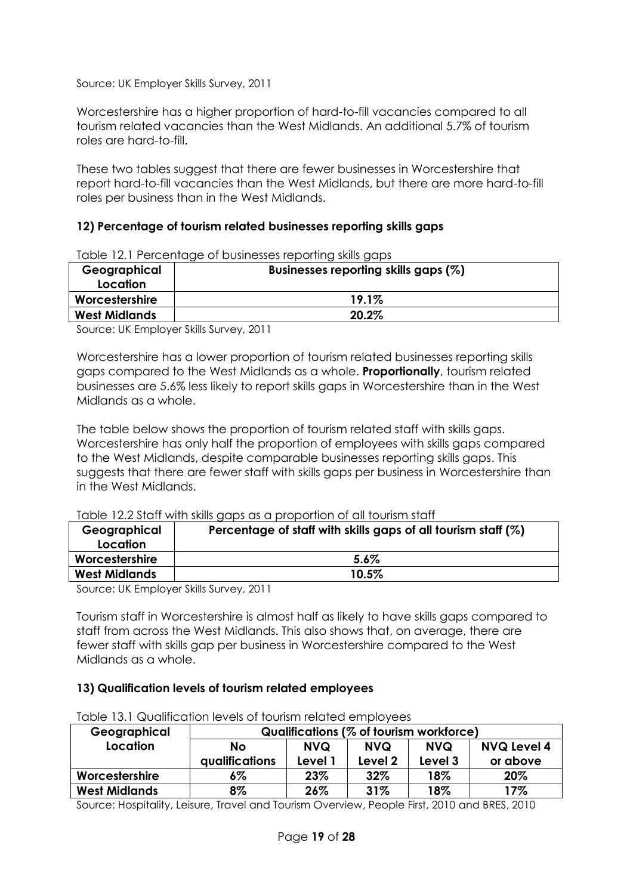Source: UK Employer Skills Survey, 2011

Worcestershire has a higher proportion of hard-to-fill vacancies compared to all tourism related vacancies than the West Midlands. An additional 5.7% of tourism roles are hard-to-fill.

These two tables suggest that there are fewer businesses in Worcestershire that report hard-to-fill vacancies than the West Midlands, but there are more hard-to-fill roles per business than in the West Midlands.

## **12) Percentage of tourism related businesses reporting skills gaps**

| rapid T2, F T Oroomago or positiossos ropormig sivilis gaps |  |  |  |  |  |
|-------------------------------------------------------------|--|--|--|--|--|
| Businesses reporting skills gaps (%)                        |  |  |  |  |  |
|                                                             |  |  |  |  |  |
| 19.1%                                                       |  |  |  |  |  |
| 20.2%                                                       |  |  |  |  |  |
|                                                             |  |  |  |  |  |

Table 12.1 Percentage of businesses reporting skills gaps

Source: UK Employer Skills Survey, 2011

Worcestershire has a lower proportion of tourism related businesses reporting skills gaps compared to the West Midlands as a whole. **Proportionally**, tourism related businesses are 5.6% less likely to report skills gaps in Worcestershire than in the West Midlands as a whole.

The table below shows the proportion of tourism related staff with skills gaps. Worcestershire has only half the proportion of employees with skills gaps compared to the West Midlands, despite comparable businesses reporting skills gaps. This suggests that there are fewer staff with skills gaps per business in Worcestershire than in the West Midlands.

|              | TODIE TZ.2 STOIT WITH SKIIIS GODS OS O DIODOFFIOR OF OIL TOURSM STOIT |  |
|--------------|-----------------------------------------------------------------------|--|
| Geographical | Percentage of staff with skills gaps of all tourism staff $(\%)$      |  |

 $T$ able 12.2 Staff with skills gaps as a proportion of all tourism states  $\epsilon$ 

| <b>PERMIT DESCRIPTION</b><br>Location | i diceniuyd of siuli willi skills yups of ull louisiff siuli (70) |
|---------------------------------------|-------------------------------------------------------------------|
| Worcestershire                        | $5.6\%$                                                           |
| <b>West Midlands</b>                  | $10.5\%$                                                          |

Source: UK Employer Skills Survey, 2011

Tourism staff in Worcestershire is almost half as likely to have skills gaps compared to staff from across the West Midlands. This also shows that, on average, there are fewer staff with skills gap per business in Worcestershire compared to the West Midlands as a whole.

### **13) Qualification levels of tourism related employees**

| Geographical         | Qualifications (% of tourism workforce) |            |            |            |                    |
|----------------------|-----------------------------------------|------------|------------|------------|--------------------|
| Location             | No                                      | <b>NVQ</b> | <b>NVQ</b> | <b>NVQ</b> | <b>NVQ Level 4</b> |
|                      | <b>qualifications</b>                   | Level 1    | Level 2    | Level 3    | or above           |
| Worcestershire       | 6%                                      | 23%        | 32%        | 18%        | 20%                |
| <b>West Midlands</b> | 8%                                      | 26%        | 31%        | 18%        | 17%                |

Table 13.1 Qualification levels of tourism related employees

Source: Hospitality, Leisure, Travel and Tourism Overview, People First, 2010 and BRES, 2010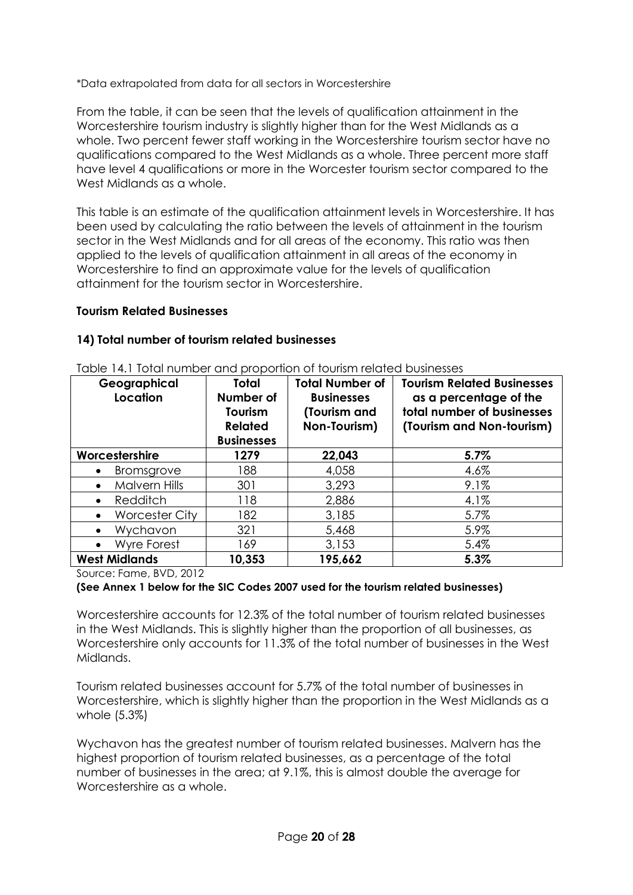\*Data extrapolated from data for all sectors in Worcestershire

From the table, it can be seen that the levels of qualification attainment in the Worcestershire tourism industry is slightly higher than for the West Midlands as a whole. Two percent fewer staff working in the Worcestershire tourism sector have no qualifications compared to the West Midlands as a whole. Three percent more staff have level 4 qualifications or more in the Worcester tourism sector compared to the West Midlands as a whole.

This table is an estimate of the qualification attainment levels in Worcestershire. It has been used by calculating the ratio between the levels of attainment in the tourism sector in the West Midlands and for all areas of the economy. This ratio was then applied to the levels of qualification attainment in all areas of the economy in Worcestershire to find an approximate value for the levels of qualification attainment for the tourism sector in Worcestershire.

#### **Tourism Related Businesses**

#### **14) Total number of tourism related businesses**

| Geographical<br>Location           | <b>Total</b><br>Number of<br>Tourism<br><b>Related</b><br><b>Businesses</b> | <b>Total Number of</b><br><b>Businesses</b><br>(Tourism and<br>Non-Tourism) | <b>Tourism Related Businesses</b><br>as a percentage of the<br>total number of businesses<br>(Tourism and Non-tourism) |
|------------------------------------|-----------------------------------------------------------------------------|-----------------------------------------------------------------------------|------------------------------------------------------------------------------------------------------------------------|
| Worcestershire                     | 1279                                                                        | 22,043                                                                      | 5.7%                                                                                                                   |
| Bromsgrove<br>$\bullet$            | 188                                                                         | 4,058                                                                       | 4.6%                                                                                                                   |
| <b>Malvern Hills</b><br>$\bullet$  | 301                                                                         | 3,293                                                                       | 9.1%                                                                                                                   |
| Redditch<br>$\bullet$              | 118                                                                         | 2,886                                                                       | 4.1%                                                                                                                   |
| <b>Worcester City</b><br>$\bullet$ | 182                                                                         | 3,185                                                                       | 5.7%                                                                                                                   |
| Wychavon<br>$\bullet$              | 321                                                                         | 5,468                                                                       | 5.9%                                                                                                                   |
| <b>Wyre Forest</b><br>$\bullet$    | 169                                                                         | 3,153                                                                       | 5.4%                                                                                                                   |
| <b>West Midlands</b>               | 10,353                                                                      | 195,662                                                                     | 5.3%                                                                                                                   |

Table 14.1 Total number and proportion of tourism related businesses

Source: Fame, BVD, 2012

#### **(See Annex 1 below for the SIC Codes 2007 used for the tourism related businesses)**

Worcestershire accounts for 12.3% of the total number of tourism related businesses in the West Midlands. This is slightly higher than the proportion of all businesses, as Worcestershire only accounts for 11.3% of the total number of businesses in the West Midlands.

Tourism related businesses account for 5.7% of the total number of businesses in Worcestershire, which is slightly higher than the proportion in the West Midlands as a whole (5.3%)

Wychavon has the greatest number of tourism related businesses. Malvern has the highest proportion of tourism related businesses, as a percentage of the total number of businesses in the area; at 9.1%, this is almost double the average for Worcestershire as a whole.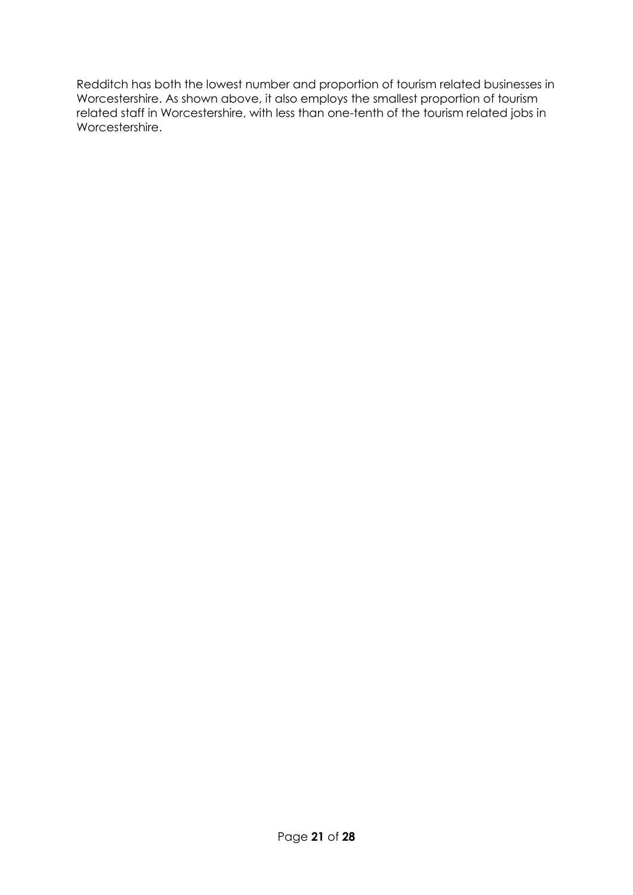Redditch has both the lowest number and proportion of tourism related businesses in Worcestershire. As shown above, it also employs the smallest proportion of tourism related staff in Worcestershire, with less than one-tenth of the tourism related jobs in Worcestershire.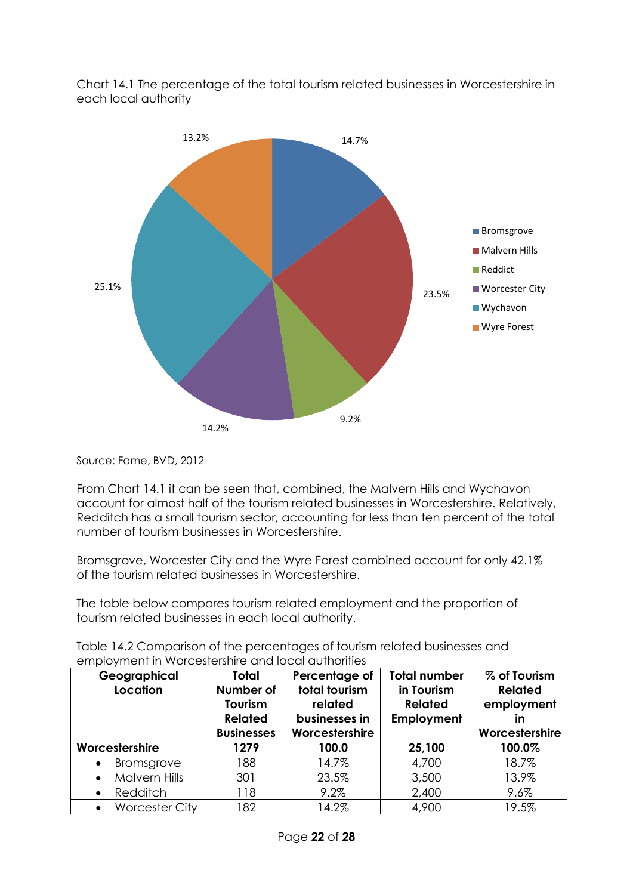Chart 14.1 The percentage of the total tourism related businesses in Worcestershire in each local authority



Source: Fame, BVD, 2012

From Chart 14.1 it can be seen that, combined, the Malvern Hills and Wychavon account for almost half of the tourism related businesses in Worcestershire. Relatively, Redditch has a small tourism sector, accounting for less than ten percent of the total number of tourism businesses in Worcestershire.

Bromsgrove, Worcester City and the Wyre Forest combined account for only 42.1% of the tourism related businesses in Worcestershire.

The table below compares tourism related employment and the proportion of tourism related businesses in each local authority.

| Table 14.2 Comparison of the percentages of tourism related businesses and |  |
|----------------------------------------------------------------------------|--|
| employment in Worcestershire and local authorities                         |  |

| Geographical<br>Location   | <b>Total</b><br>Number of<br>Tourism<br><b>Related</b><br><b>Businesses</b> | Percentage of<br>total tourism<br>related<br>businesses in<br>Worcestershire | <b>Total number</b><br>in Tourism<br><b>Related</b><br>Employment | % of Tourism<br><b>Related</b><br>employment<br>in<br>Worcestershire |
|----------------------------|-----------------------------------------------------------------------------|------------------------------------------------------------------------------|-------------------------------------------------------------------|----------------------------------------------------------------------|
| Worcestershire             | 1279                                                                        | 100.0                                                                        | 25,100                                                            | 100.0%                                                               |
| Bromsgrove<br>$\bullet$    | 188                                                                         | 14.7%                                                                        | 4,700                                                             | 18.7%                                                                |
| Malvern Hills<br>$\bullet$ | 301                                                                         | 23.5%                                                                        | 3,500                                                             | 13.9%                                                                |
| Redditch<br>$\bullet$      | 118                                                                         | 9.2%                                                                         | 2,400                                                             | 9.6%                                                                 |
| <b>Worcester City</b>      | 182                                                                         | 14.2%                                                                        | 4,900                                                             | 19.5%                                                                |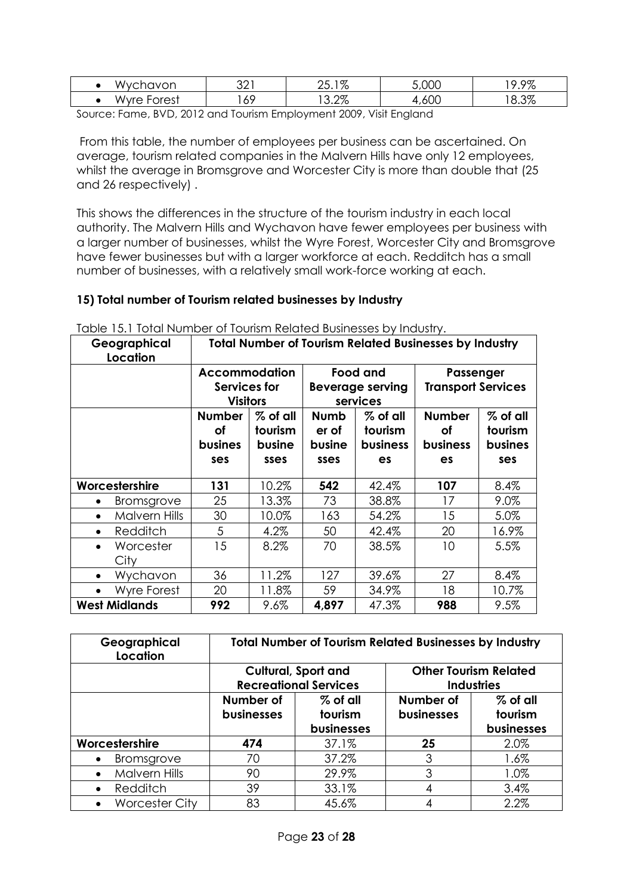| 10n<br>OL.<br>1 V (<br>$\mathbf{v}$                       | ּ ∩ ∩<br>ے⊂ | $1 \sigma$<br>$\overline{\phantom{0}}$<br>7c<br>∠∪. ı | $F \cap \cap$<br>-<br>,UUL | ೦ಌ<br>$\sim$<br>. .<br>7.7/0 |
|-----------------------------------------------------------|-------------|-------------------------------------------------------|----------------------------|------------------------------|
| $r \cap r \cap r$<br>$\frac{1}{2}$<br>$\mathbf{v}$<br>ں ب | 69          | റത<br>J.∠ ⁄o                                          | $\sim$<br>ouu              | 207<br>$\circ$<br>O.O/O      |

Source: Fame, BVD, 2012 and Tourism Employment 2009, Visit England

From this table, the number of employees per business can be ascertained. On average, tourism related companies in the Malvern Hills have only 12 employees, whilst the average in Bromsgrove and Worcester City is more than double that (25 and 26 respectively) .

This shows the differences in the structure of the tourism industry in each local authority. The Malvern Hills and Wychavon have fewer employees per business with a larger number of businesses, whilst the Wyre Forest, Worcester City and Bromsgrove have fewer businesses but with a larger workforce at each. Redditch has a small number of businesses, with a relatively small work-force working at each.

## **15) Total number of Tourism related businesses by Industry**

| Geographical<br>Location        |                      | <b>Total Number of Tourism Related Businesses by Industry</b> |          |                         |                 |                           |            |
|---------------------------------|----------------------|---------------------------------------------------------------|----------|-------------------------|-----------------|---------------------------|------------|
|                                 |                      | <b>Accommodation</b>                                          |          | Food and                |                 | Passenger                 |            |
|                                 |                      | Services for                                                  |          | <b>Beverage serving</b> |                 | <b>Transport Services</b> |            |
|                                 |                      | <b>Visitors</b>                                               |          | services                |                 |                           |            |
|                                 |                      | <b>Number</b>                                                 | % of all | Numb                    | % of all        | <b>Number</b>             | $%$ of all |
|                                 |                      | οf                                                            | tourism  | er of                   | tourism         | οf                        | tourism    |
|                                 |                      | busines                                                       | busine   | busine                  | <b>business</b> | <b>business</b>           | busines    |
|                                 |                      | ses                                                           | sses     | sses                    | es              | es                        | ses        |
| Worcestershire                  |                      | 131                                                           | 10.2%    | 542                     | 42.4%           | 107                       | 8.4%       |
| $\bullet$                       | <b>Bromsgrove</b>    | 25                                                            | 13.3%    | 73                      | 38.8%           | 17                        | 9.0%       |
| $\bullet$                       | <b>Malvern Hills</b> | 30                                                            | 10.0%    | 163                     | 54.2%           | 15                        | 5.0%       |
| Redditch<br>$\bullet$           |                      | 5                                                             | 4.2%     | 50                      | 42.4%           | 20                        | 16.9%      |
| Worcester<br>$\bullet$          |                      | 15                                                            | 8.2%     | 70                      | 38.5%           | 10                        | 5.5%       |
| City                            |                      |                                                               |          |                         |                 |                           |            |
| Wychavon<br>$\bullet$           |                      | 36                                                            | 11.2%    | 127                     | 39.6%           | 27                        | 8.4%       |
| <b>Wyre Forest</b><br>$\bullet$ |                      | 20                                                            | 11.8%    | 59                      | 34.9%           | 18                        | 10.7%      |
| <b>West Midlands</b>            |                      | 992                                                           | $9.6\%$  | 4,897                   | 47.3%           | 988                       | 9.5%       |

Table 15.1 Total Number of Tourism Related Businesses by Industry.

| Geographical<br>Location          | <b>Total Number of Tourism Related Businesses by Industry</b>  |       |                                                   |                                     |  |  |
|-----------------------------------|----------------------------------------------------------------|-------|---------------------------------------------------|-------------------------------------|--|--|
|                                   | <b>Cultural, Sport and</b><br><b>Recreational Services</b>     |       | <b>Other Tourism Related</b><br><b>Industries</b> |                                     |  |  |
|                                   | Number of<br>$%$ of all<br>businesses<br>tourism<br>businesses |       | Number of<br><b>businesses</b>                    | $%$ of all<br>tourism<br>businesses |  |  |
| Worcestershire                    | 474                                                            | 37.1% | 25                                                | 2.0%                                |  |  |
| <b>Bromsgrove</b>                 | 70                                                             | 37.2% | 3                                                 | 1.6%                                |  |  |
| <b>Malvern Hills</b><br>$\bullet$ | 90                                                             | 29.9% | 3                                                 | 1.0%                                |  |  |
| Redditch                          | 39                                                             | 33.1% | 4                                                 | 3.4%                                |  |  |
| <b>Worcester City</b>             | 83                                                             | 45.6% |                                                   | 2.2%                                |  |  |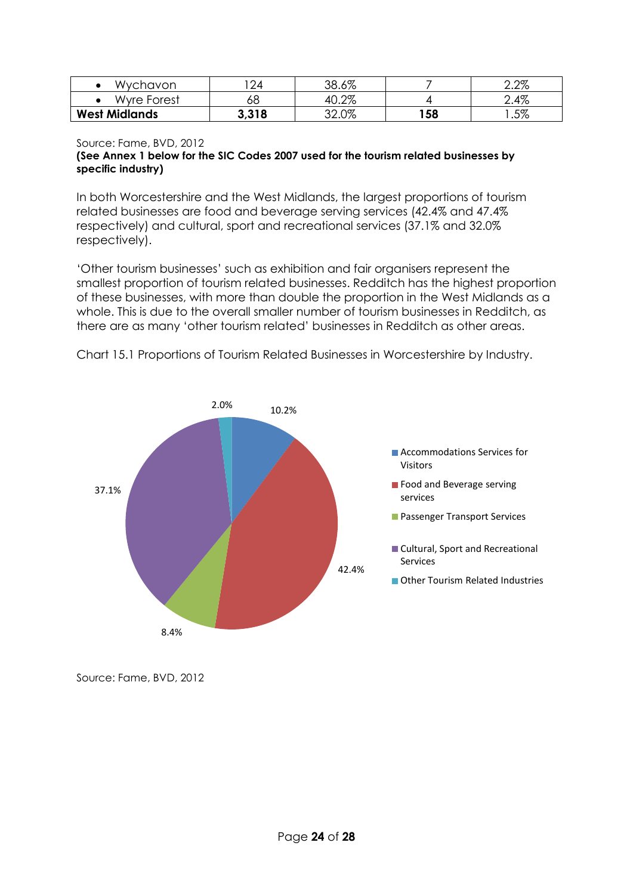| Wychavon             | 24    | 38.6% |     | 2.2% |
|----------------------|-------|-------|-----|------|
| Wyre Forest          | oо    | 40.2% |     | 2.4% |
| <b>West Midlands</b> | 3,318 | 32.0% | 158 | .5%  |

#### Source: Fame, BVD, 2012 **(See Annex 1 below for the SIC Codes 2007 used for the tourism related businesses by specific industry)**

In both Worcestershire and the West Midlands, the largest proportions of tourism related businesses are food and beverage serving services (42.4% and 47.4% respectively) and cultural, sport and recreational services (37.1% and 32.0% respectively).

'Other tourism businesses' such as exhibition and fair organisers represent the smallest proportion of tourism related businesses. Redditch has the highest proportion of these businesses, with more than double the proportion in the West Midlands as a whole. This is due to the overall smaller number of tourism businesses in Redditch, as there are as many 'other tourism related' businesses in Redditch as other areas.



Chart 15.1 Proportions of Tourism Related Businesses in Worcestershire by Industry.

Source: Fame, BVD, 2012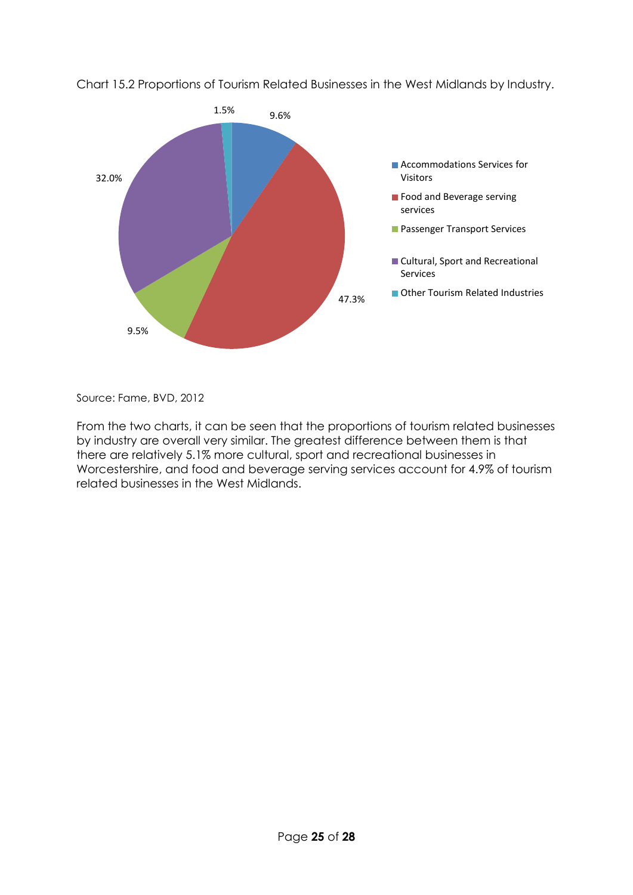

Chart 15.2 Proportions of Tourism Related Businesses in the West Midlands by Industry.

Source: Fame, BVD, 2012

From the two charts, it can be seen that the proportions of tourism related businesses by industry are overall very similar. The greatest difference between them is that there are relatively 5.1% more cultural, sport and recreational businesses in Worcestershire, and food and beverage serving services account for 4.9% of tourism related businesses in the West Midlands.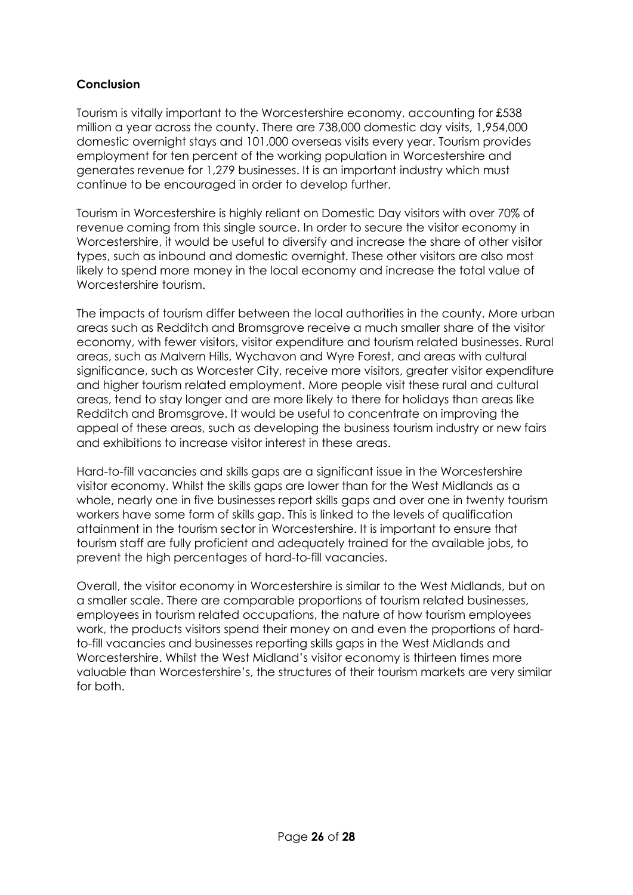## **Conclusion**

Tourism is vitally important to the Worcestershire economy, accounting for £538 million a year across the county. There are 738,000 domestic day visits, 1,954,000 domestic overnight stays and 101,000 overseas visits every year. Tourism provides employment for ten percent of the working population in Worcestershire and generates revenue for 1,279 businesses. It is an important industry which must continue to be encouraged in order to develop further.

Tourism in Worcestershire is highly reliant on Domestic Day visitors with over 70% of revenue coming from this single source. In order to secure the visitor economy in Worcestershire, it would be useful to diversify and increase the share of other visitor types, such as inbound and domestic overnight. These other visitors are also most likely to spend more money in the local economy and increase the total value of Worcestershire tourism.

The impacts of tourism differ between the local authorities in the county. More urban areas such as Redditch and Bromsgrove receive a much smaller share of the visitor economy, with fewer visitors, visitor expenditure and tourism related businesses. Rural areas, such as Malvern Hills, Wychavon and Wyre Forest, and areas with cultural significance, such as Worcester City, receive more visitors, greater visitor expenditure and higher tourism related employment. More people visit these rural and cultural areas, tend to stay longer and are more likely to there for holidays than areas like Redditch and Bromsgrove. It would be useful to concentrate on improving the appeal of these areas, such as developing the business tourism industry or new fairs and exhibitions to increase visitor interest in these areas.

Hard-to-fill vacancies and skills gaps are a significant issue in the Worcestershire visitor economy. Whilst the skills gaps are lower than for the West Midlands as a whole, nearly one in five businesses report skills gaps and over one in twenty tourism workers have some form of skills gap. This is linked to the levels of qualification attainment in the tourism sector in Worcestershire. It is important to ensure that tourism staff are fully proficient and adequately trained for the available jobs, to prevent the high percentages of hard-to-fill vacancies.

Overall, the visitor economy in Worcestershire is similar to the West Midlands, but on a smaller scale. There are comparable proportions of tourism related businesses, employees in tourism related occupations, the nature of how tourism employees work, the products visitors spend their money on and even the proportions of hardto-fill vacancies and businesses reporting skills gaps in the West Midlands and Worcestershire. Whilst the West Midland's visitor economy is thirteen times more valuable than Worcestershire's, the structures of their tourism markets are very similar for both.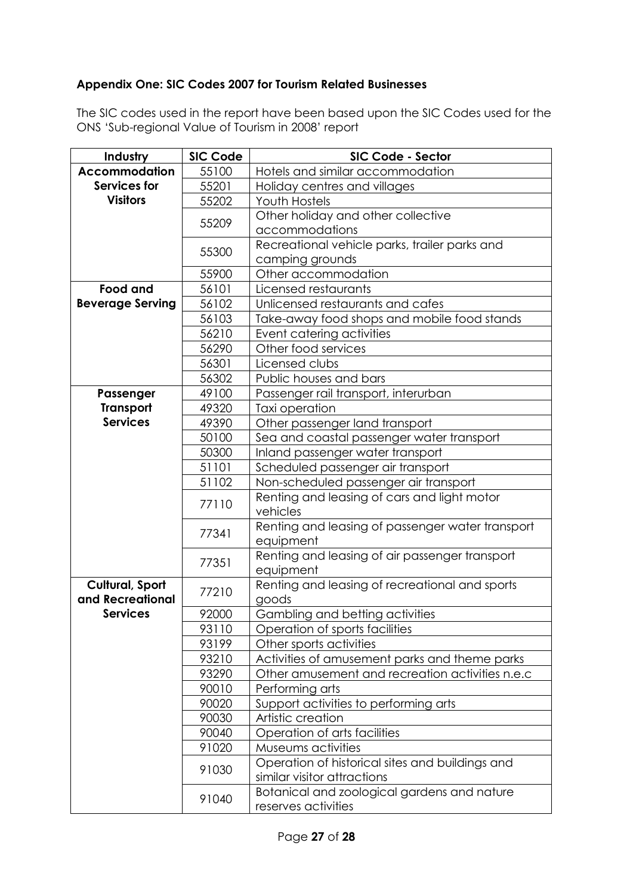## **Appendix One: SIC Codes 2007 for Tourism Related Businesses**

The SIC codes used in the report have been based upon the SIC Codes used for the ONS 'Sub-regional Value of Tourism in 2008' report

| Industry                | <b>SIC Code</b> | SIC Code - Sector                                                              |  |  |
|-------------------------|-----------------|--------------------------------------------------------------------------------|--|--|
| <b>Accommodation</b>    | 55100           | Hotels and similar accommodation                                               |  |  |
| Services for            | 55201           | Holiday centres and villages                                                   |  |  |
| <b>Visitors</b>         | 55202           | <b>Youth Hostels</b>                                                           |  |  |
|                         |                 | Other holiday and other collective                                             |  |  |
|                         | 55209           | accommodations                                                                 |  |  |
|                         |                 | Recreational vehicle parks, trailer parks and                                  |  |  |
|                         | 55300           | camping grounds                                                                |  |  |
|                         | 55900           | Other accommodation                                                            |  |  |
| <b>Food and</b>         | 56101           | Licensed restaurants                                                           |  |  |
| <b>Beverage Serving</b> | 56102           | Unlicensed restaurants and cafes                                               |  |  |
|                         | 56103           | Take-away food shops and mobile food stands                                    |  |  |
|                         | 56210           | Event catering activities                                                      |  |  |
|                         | 56290           | Other food services                                                            |  |  |
|                         | 56301           | Licensed clubs                                                                 |  |  |
|                         | 56302           | Public houses and bars                                                         |  |  |
| Passenger               | 49100           | Passenger rail transport, interurban                                           |  |  |
| <b>Transport</b>        | 49320           | Taxi operation                                                                 |  |  |
| <b>Services</b>         | 49390           | Other passenger land transport                                                 |  |  |
|                         | 50100           | Sea and coastal passenger water transport                                      |  |  |
|                         | 50300           | Inland passenger water transport                                               |  |  |
|                         | 51101           | Scheduled passenger air transport                                              |  |  |
|                         | 51102           | Non-scheduled passenger air transport                                          |  |  |
|                         | 77110           | Renting and leasing of cars and light motor                                    |  |  |
|                         |                 | vehicles                                                                       |  |  |
|                         | 77341           | Renting and leasing of passenger water transport                               |  |  |
|                         |                 | equipment                                                                      |  |  |
|                         | 77351           | Renting and leasing of air passenger transport                                 |  |  |
|                         |                 | equipment                                                                      |  |  |
| <b>Cultural, Sport</b>  | 77210           | Renting and leasing of recreational and sports                                 |  |  |
| and Recreational        |                 | goods                                                                          |  |  |
| <b>Services</b>         | 92000           | Gambling and betting activities                                                |  |  |
|                         | 93110           | Operation of sports facilities                                                 |  |  |
|                         | 93199           | Other sports activities                                                        |  |  |
|                         | 93210           | Activities of amusement parks and theme parks                                  |  |  |
|                         | 93290           | Other amusement and recreation activities n.e.c                                |  |  |
|                         | 90010           | Performing arts                                                                |  |  |
|                         | 90020           | Support activities to performing arts                                          |  |  |
|                         | 90030           | Artistic creation                                                              |  |  |
|                         | 90040           | Operation of arts facilities                                                   |  |  |
|                         | 91020           | Museums activities                                                             |  |  |
|                         | 91030           | Operation of historical sites and buildings and<br>similar visitor attractions |  |  |
|                         | 91040           | Botanical and zoological gardens and nature<br>reserves activities             |  |  |